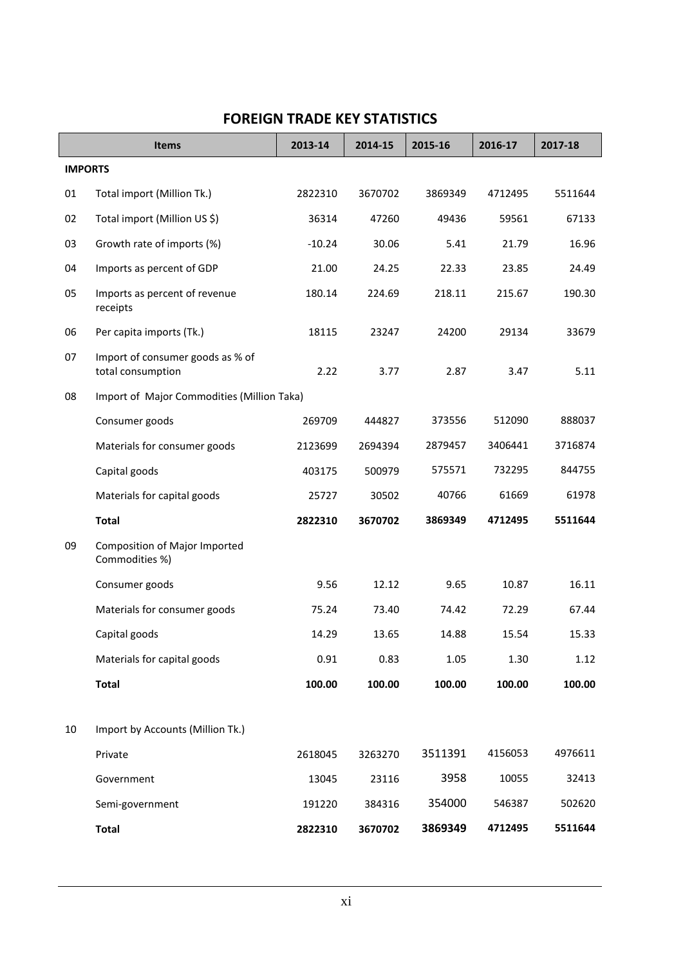|                | <b>Items</b>                                          | 2013-14  | 2014-15 | 2015-16 | 2016-17 | 2017-18 |
|----------------|-------------------------------------------------------|----------|---------|---------|---------|---------|
| <b>IMPORTS</b> |                                                       |          |         |         |         |         |
| 01             | Total import (Million Tk.)                            | 2822310  | 3670702 | 3869349 | 4712495 | 5511644 |
| 02             | Total import (Million US \$)                          | 36314    | 47260   | 49436   | 59561   | 67133   |
| 03             | Growth rate of imports (%)                            | $-10.24$ | 30.06   | 5.41    | 21.79   | 16.96   |
| 04             | Imports as percent of GDP                             | 21.00    | 24.25   | 22.33   | 23.85   | 24.49   |
| 05             | Imports as percent of revenue<br>receipts             | 180.14   | 224.69  | 218.11  | 215.67  | 190.30  |
| 06             | Per capita imports (Tk.)                              | 18115    | 23247   | 24200   | 29134   | 33679   |
| 07             | Import of consumer goods as % of<br>total consumption | 2.22     | 3.77    | 2.87    | 3.47    | 5.11    |
| 08             | Import of Major Commodities (Million Taka)            |          |         |         |         |         |
|                | Consumer goods                                        | 269709   | 444827  | 373556  | 512090  | 888037  |
|                | Materials for consumer goods                          | 2123699  | 2694394 | 2879457 | 3406441 | 3716874 |
|                | Capital goods                                         | 403175   | 500979  | 575571  | 732295  | 844755  |
|                | Materials for capital goods                           | 25727    | 30502   | 40766   | 61669   | 61978   |
|                | <b>Total</b>                                          | 2822310  | 3670702 | 3869349 | 4712495 | 5511644 |
| 09             | Composition of Major Imported<br>Commodities %)       |          |         |         |         |         |
|                | Consumer goods                                        | 9.56     | 12.12   | 9.65    | 10.87   | 16.11   |
|                | Materials for consumer goods                          | 75.24    | 73.40   | 74.42   | 72.29   | 67.44   |
|                | Capital goods                                         | 14.29    | 13.65   | 14.88   | 15.54   | 15.33   |
|                | Materials for capital goods                           | 0.91     | 0.83    | 1.05    | 1.30    | 1.12    |
|                | <b>Total</b>                                          | 100.00   | 100.00  | 100.00  | 100.00  | 100.00  |
|                |                                                       |          |         |         |         |         |
| 10             | Import by Accounts (Million Tk.)                      |          |         |         |         |         |
|                | Private                                               | 2618045  | 3263270 | 3511391 | 4156053 | 4976611 |
|                | Government                                            | 13045    | 23116   | 3958    | 10055   | 32413   |
|                | Semi-government                                       | 191220   | 384316  | 354000  | 546387  | 502620  |
|                | <b>Total</b>                                          | 2822310  | 3670702 | 3869349 | 4712495 | 5511644 |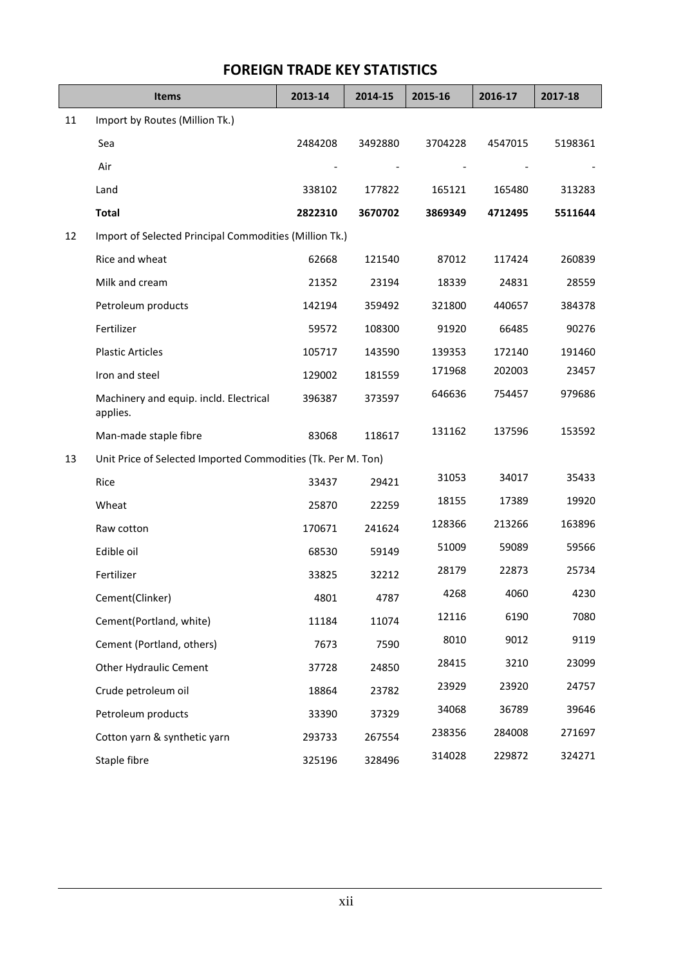|    | <b>Items</b>                                                 | 2013-14 | 2014-15 | 2015-16 | 2016-17 | 2017-18 |
|----|--------------------------------------------------------------|---------|---------|---------|---------|---------|
| 11 | Import by Routes (Million Tk.)                               |         |         |         |         |         |
|    | Sea                                                          | 2484208 | 3492880 | 3704228 | 4547015 | 5198361 |
|    | Air                                                          |         |         |         |         |         |
|    | Land                                                         | 338102  | 177822  | 165121  | 165480  | 313283  |
|    | <b>Total</b>                                                 | 2822310 | 3670702 | 3869349 | 4712495 | 5511644 |
| 12 | Import of Selected Principal Commodities (Million Tk.)       |         |         |         |         |         |
|    | Rice and wheat                                               | 62668   | 121540  | 87012   | 117424  | 260839  |
|    | Milk and cream                                               | 21352   | 23194   | 18339   | 24831   | 28559   |
|    | Petroleum products                                           | 142194  | 359492  | 321800  | 440657  | 384378  |
|    | Fertilizer                                                   | 59572   | 108300  | 91920   | 66485   | 90276   |
|    | <b>Plastic Articles</b>                                      | 105717  | 143590  | 139353  | 172140  | 191460  |
|    | Iron and steel                                               | 129002  | 181559  | 171968  | 202003  | 23457   |
|    | Machinery and equip. incld. Electrical<br>applies.           | 396387  | 373597  | 646636  | 754457  | 979686  |
|    | Man-made staple fibre                                        | 83068   | 118617  | 131162  | 137596  | 153592  |
| 13 | Unit Price of Selected Imported Commodities (Tk. Per M. Ton) |         |         |         |         |         |
|    | Rice                                                         | 33437   | 29421   | 31053   | 34017   | 35433   |
|    | Wheat                                                        | 25870   | 22259   | 18155   | 17389   | 19920   |
|    | Raw cotton                                                   | 170671  | 241624  | 128366  | 213266  | 163896  |
|    | Edible oil                                                   | 68530   | 59149   | 51009   | 59089   | 59566   |
|    | Fertilizer                                                   | 33825   | 32212   | 28179   | 22873   | 25734   |
|    | Cement(Clinker)                                              | 4801    | 4787    | 4268    | 4060    | 4230    |
|    | Cement(Portland, white)                                      | 11184   | 11074   | 12116   | 6190    | 7080    |
|    | Cement (Portland, others)                                    | 7673    | 7590    | 8010    | 9012    | 9119    |
|    | Other Hydraulic Cement                                       | 37728   | 24850   | 28415   | 3210    | 23099   |
|    | Crude petroleum oil                                          | 18864   | 23782   | 23929   | 23920   | 24757   |
|    | Petroleum products                                           | 33390   | 37329   | 34068   | 36789   | 39646   |
|    | Cotton yarn & synthetic yarn                                 | 293733  | 267554  | 238356  | 284008  | 271697  |
|    | Staple fibre                                                 | 325196  | 328496  | 314028  | 229872  | 324271  |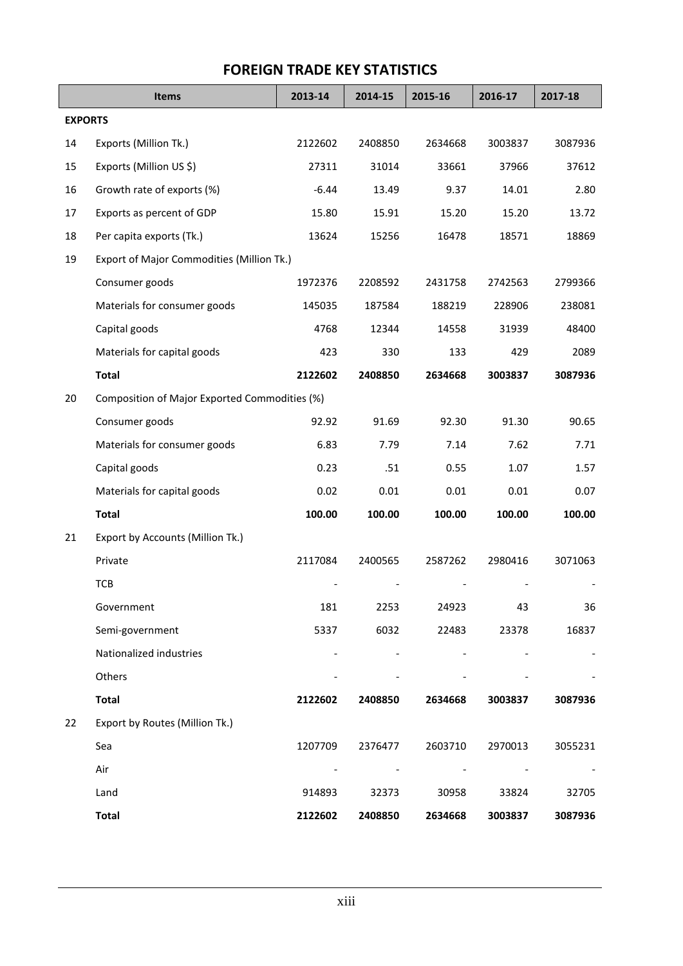|                | <b>Items</b>                                  | 2013-14 | 2014-15 | 2015-16 | 2016-17 | 2017-18 |
|----------------|-----------------------------------------------|---------|---------|---------|---------|---------|
| <b>EXPORTS</b> |                                               |         |         |         |         |         |
| 14             | Exports (Million Tk.)                         | 2122602 | 2408850 | 2634668 | 3003837 | 3087936 |
| 15             | Exports (Million US \$)                       | 27311   | 31014   | 33661   | 37966   | 37612   |
| 16             | Growth rate of exports (%)                    | $-6.44$ | 13.49   | 9.37    | 14.01   | 2.80    |
| 17             | Exports as percent of GDP                     | 15.80   | 15.91   | 15.20   | 15.20   | 13.72   |
| 18             | Per capita exports (Tk.)                      | 13624   | 15256   | 16478   | 18571   | 18869   |
| 19             | Export of Major Commodities (Million Tk.)     |         |         |         |         |         |
|                | Consumer goods                                | 1972376 | 2208592 | 2431758 | 2742563 | 2799366 |
|                | Materials for consumer goods                  | 145035  | 187584  | 188219  | 228906  | 238081  |
|                | Capital goods                                 | 4768    | 12344   | 14558   | 31939   | 48400   |
|                | Materials for capital goods                   | 423     | 330     | 133     | 429     | 2089    |
|                | <b>Total</b>                                  | 2122602 | 2408850 | 2634668 | 3003837 | 3087936 |
| 20             | Composition of Major Exported Commodities (%) |         |         |         |         |         |
|                | Consumer goods                                | 92.92   | 91.69   | 92.30   | 91.30   | 90.65   |
|                | Materials for consumer goods                  | 6.83    | 7.79    | 7.14    | 7.62    | 7.71    |
|                | Capital goods                                 | 0.23    | .51     | 0.55    | 1.07    | 1.57    |
|                | Materials for capital goods                   | 0.02    | 0.01    | 0.01    | 0.01    | 0.07    |
|                | <b>Total</b>                                  | 100.00  | 100.00  | 100.00  | 100.00  | 100.00  |
| 21             | Export by Accounts (Million Tk.)              |         |         |         |         |         |
|                | Private                                       | 2117084 | 2400565 | 2587262 | 2980416 | 3071063 |
|                | <b>TCB</b>                                    |         |         |         |         |         |
|                | Government                                    | 181     | 2253    | 24923   | 43      | 36      |
|                | Semi-government                               | 5337    | 6032    | 22483   | 23378   | 16837   |
|                | Nationalized industries                       |         |         |         |         |         |
|                | Others                                        |         |         |         |         |         |
|                | <b>Total</b>                                  | 2122602 | 2408850 | 2634668 | 3003837 | 3087936 |
| 22             | Export by Routes (Million Tk.)                |         |         |         |         |         |
|                | Sea                                           | 1207709 | 2376477 | 2603710 | 2970013 | 3055231 |
|                | Air                                           |         |         |         |         |         |
|                | Land                                          | 914893  | 32373   | 30958   | 33824   | 32705   |
|                | <b>Total</b>                                  | 2122602 | 2408850 | 2634668 | 3003837 | 3087936 |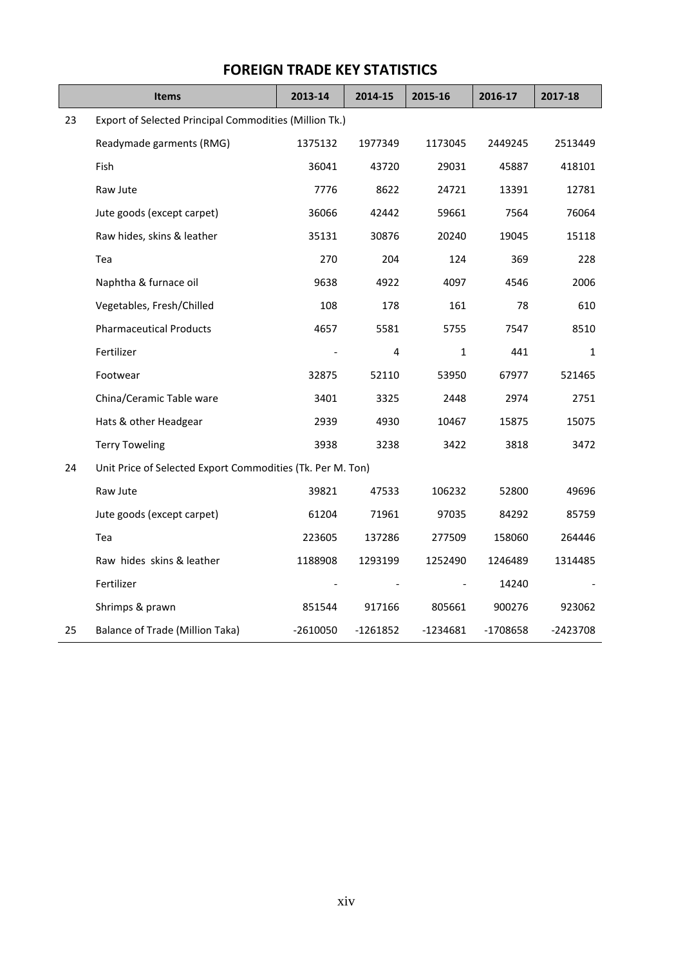|    | <b>Items</b>                                               | 2013-14    | 2014-15  | 2015-16      | 2016-17  | 2017-18  |  |
|----|------------------------------------------------------------|------------|----------|--------------|----------|----------|--|
| 23 | Export of Selected Principal Commodities (Million Tk.)     |            |          |              |          |          |  |
|    | Readymade garments (RMG)                                   | 1375132    | 1977349  | 1173045      | 2449245  | 2513449  |  |
|    | Fish                                                       | 36041      | 43720    | 29031        | 45887    | 418101   |  |
|    | Raw Jute                                                   | 7776       | 8622     | 24721        | 13391    | 12781    |  |
|    | Jute goods (except carpet)                                 | 36066      | 42442    | 59661        | 7564     | 76064    |  |
|    | Raw hides, skins & leather                                 | 35131      | 30876    | 20240        | 19045    | 15118    |  |
|    | Tea                                                        | 270        | 204      | 124          | 369      | 228      |  |
|    | Naphtha & furnace oil                                      | 9638       | 4922     | 4097         | 4546     | 2006     |  |
|    | Vegetables, Fresh/Chilled                                  | 108        | 178      | 161          | 78       | 610      |  |
|    | <b>Pharmaceutical Products</b>                             | 4657       | 5581     | 5755         | 7547     | 8510     |  |
|    | Fertilizer                                                 |            | 4        | $\mathbf{1}$ | 441      | 1        |  |
|    | Footwear                                                   | 32875      | 52110    | 53950        | 67977    | 521465   |  |
|    | China/Ceramic Table ware                                   | 3401       | 3325     | 2448         | 2974     | 2751     |  |
|    | Hats & other Headgear                                      | 2939       | 4930     | 10467        | 15875    | 15075    |  |
|    | <b>Terry Toweling</b>                                      | 3938       | 3238     | 3422         | 3818     | 3472     |  |
| 24 | Unit Price of Selected Export Commodities (Tk. Per M. Ton) |            |          |              |          |          |  |
|    | Raw Jute                                                   | 39821      | 47533    | 106232       | 52800    | 49696    |  |
|    | Jute goods (except carpet)                                 | 61204      | 71961    | 97035        | 84292    | 85759    |  |
|    | Tea                                                        | 223605     | 137286   | 277509       | 158060   | 264446   |  |
|    | Raw hides skins & leather                                  | 1188908    | 1293199  | 1252490      | 1246489  | 1314485  |  |
|    | Fertilizer                                                 |            |          |              | 14240    |          |  |
|    | Shrimps & prawn                                            | 851544     | 917166   | 805661       | 900276   | 923062   |  |
| 25 | Balance of Trade (Million Taka)                            | $-2610050$ | -1261852 | $-1234681$   | -1708658 | -2423708 |  |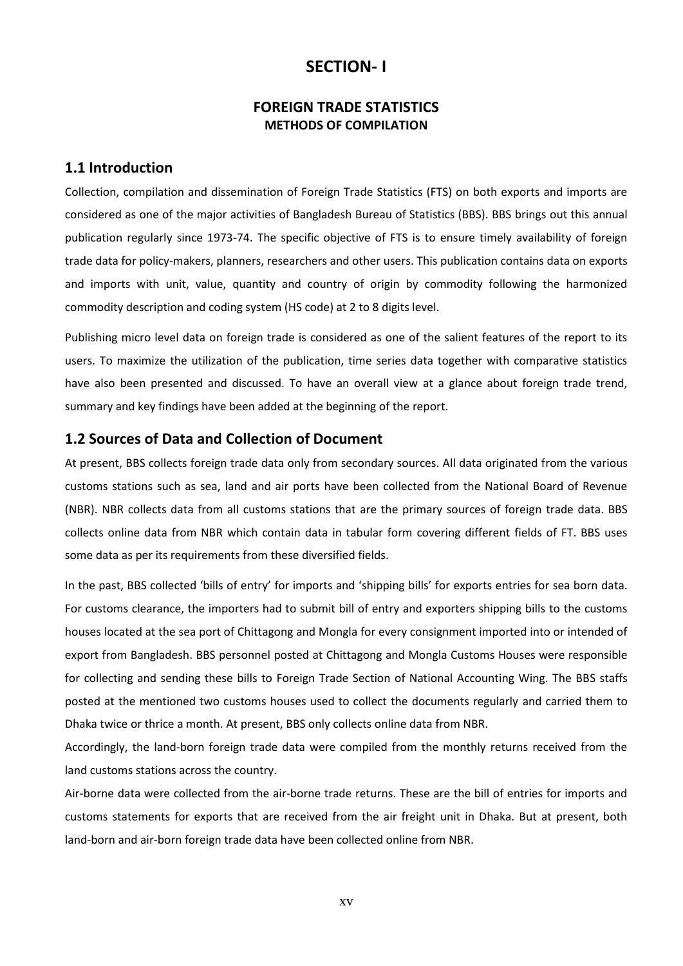## **SECTION- I**

#### **FOREIGN TRADE STATISTICS METHODS OF COMPILATION**

#### **1.1 Introduction**

Collection, compilation and dissemination of Foreign Trade Statistics (FTS) on both exports and imports are considered as one of the major activities of Bangladesh Bureau of Statistics (BBS). BBS brings out this annual publication regularly since 1973-74. The specific objective of FTS is to ensure timely availability of foreign trade data for policy-makers, planners, researchers and other users. This publication contains data on exports and imports with unit, value, quantity and country of origin by commodity following the harmonized commodity description and coding system (HS code) at 2 to 8 digits level.

Publishing micro level data on foreign trade is considered as one of the salient features of the report to its users. To maximize the utilization of the publication, time series data together with comparative statistics have also been presented and discussed. To have an overall view at a glance about foreign trade trend, summary and key findings have been added at the beginning of the report.

#### **1.2 Sources of Data and Collection of Document**

At present, BBS collects foreign trade data only from secondary sources. All data originated from the various customs stations such as sea, land and air ports have been collected from the National Board of Revenue (NBR). NBR collects data from all customs stations that are the primary sources of foreign trade data. BBS collects online data from NBR which contain data in tabular form covering different fields of FT. BBS uses some data as per its requirements from these diversified fields.

In the past, BBS collected 'bills of entry' for imports and 'shipping bills' for exports entries for sea born data. For customs clearance, the importers had to submit bill of entry and exporters shipping bills to the customs houses located at the sea port of Chittagong and Mongla for every consignment imported into or intended of export from Bangladesh. BBS personnel posted at Chittagong and Mongla Customs Houses were responsible for collecting and sending these bills to Foreign Trade Section of National Accounting Wing. The BBS staffs posted at the mentioned two customs houses used to collect the documents regularly and carried them to Dhaka twice or thrice a month. At present, BBS only collects online data from NBR.

Accordingly, the land-born foreign trade data were compiled from the monthly returns received from the land customs stations across the country.

Air-borne data were collected from the air-borne trade returns. These are the bill of entries for imports and customs statements for exports that are received from the air freight unit in Dhaka. But at present, both land-born and air-born foreign trade data have been collected online from NBR.

xv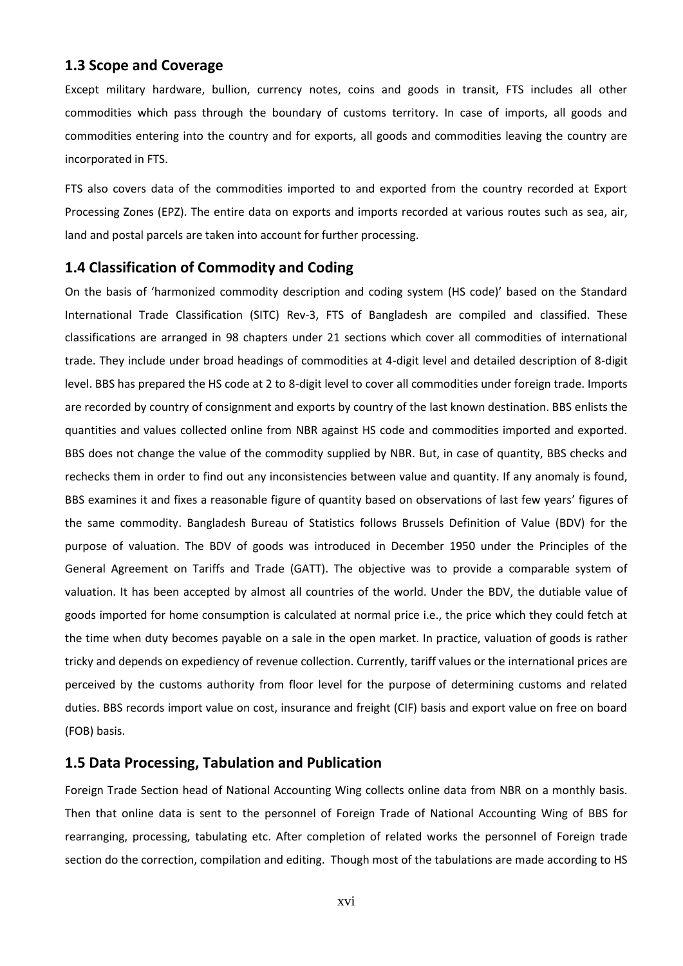#### **1.3 Scope and Coverage**

Except military hardware, bullion, currency notes, coins and goods in transit, FTS includes all other commodities which pass through the boundary of customs territory. In case of imports, all goods and commodities entering into the country and for exports, all goods and commodities leaving the country are incorporated in FTS.

FTS also covers data of the commodities imported to and exported from the country recorded at Export Processing Zones (EPZ). The entire data on exports and imports recorded at various routes such as sea, air, land and postal parcels are taken into account for further processing.

#### **1.4 Classification of Commodity and Coding**

On the basis of 'harmonized commodity description and coding system (HS code)' based on the Standard International Trade Classification (SITC) Rev-3, FTS of Bangladesh are compiled and classified. These classifications are arranged in 98 chapters under 21 sections which cover all commodities of international trade. They include under broad headings of commodities at 4-digit level and detailed description of 8-digit level. BBS has prepared the HS code at 2 to 8-digit level to cover all commodities under foreign trade. Imports are recorded by country of consignment and exports by country of the last known destination. BBS enlists the quantities and values collected online from NBR against HS code and commodities imported and exported. BBS does not change the value of the commodity supplied by NBR. But, in case of quantity, BBS checks and rechecks them in order to find out any inconsistencies between value and quantity. If any anomaly is found, BBS examines it and fixes a reasonable figure of quantity based on observations of last few years' figures of the same commodity. Bangladesh Bureau of Statistics follows Brussels Definition of Value (BDV) for the purpose of valuation. The BDV of goods was introduced in December 1950 under the Principles of the General Agreement on Tariffs and Trade (GATT). The objective was to provide a comparable system of valuation. It has been accepted by almost all countries of the world. Under the BDV, the dutiable value of goods imported for home consumption is calculated at normal price i.e., the price which they could fetch at the time when duty becomes payable on a sale in the open market. In practice, valuation of goods is rather tricky and depends on expediency of revenue collection. Currently, tariff values or the international prices are perceived by the customs authority from floor level for the purpose of determining customs and related duties. BBS records import value on cost, insurance and freight (CIF) basis and export value on free on board (FOB) basis.

#### **1.5 Data Processing, Tabulation and Publication**

Foreign Trade Section head of National Accounting Wing collects online data from NBR on a monthly basis. Then that online data is sent to the personnel of Foreign Trade of National Accounting Wing of BBS for rearranging, processing, tabulating etc. After completion of related works the personnel of Foreign trade section do the correction, compilation and editing. Though most of the tabulations are made according to HS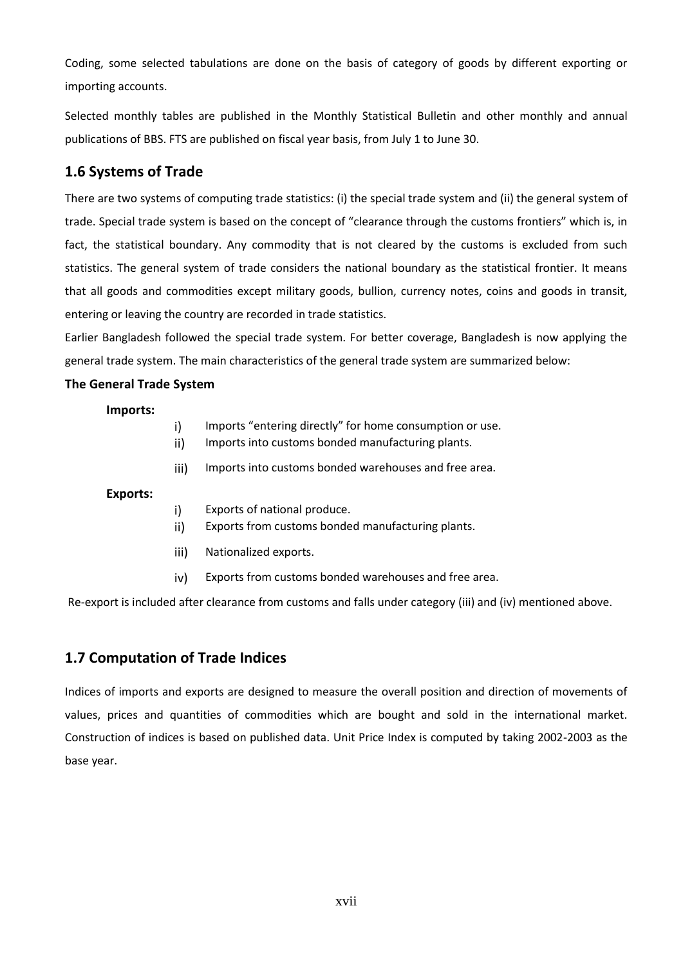Coding, some selected tabulations are done on the basis of category of goods by different exporting or importing accounts.

Selected monthly tables are published in the Monthly Statistical Bulletin and other monthly and annual publications of BBS. FTS are published on fiscal year basis, from July 1 to June 30.

## **1.6 Systems of Trade**

There are two systems of computing trade statistics: (i) the special trade system and (ii) the general system of trade. Special trade system is based on the concept of "clearance through the customs frontiers" which is, in fact, the statistical boundary. Any commodity that is not cleared by the customs is excluded from such statistics. The general system of trade considers the national boundary as the statistical frontier. It means that all goods and commodities except military goods, bullion, currency notes, coins and goods in transit, entering or leaving the country are recorded in trade statistics.

Earlier Bangladesh followed the special trade system. For better coverage, Bangladesh is now applying the general trade system. The main characteristics of the general trade system are summarized below:

#### **The General Trade System**

**Imports:**

- i) Imports "entering directly" for home consumption or use.
- ii) Imports into customs bonded manufacturing plants.
- iii) Imports into customs bonded warehouses and free area.

**Exports:**

- i) Exports of national produce.
- ii) Exports from customs bonded manufacturing plants.
- iii) Nationalized exports.
- iv) Exports from customs bonded warehouses and free area.

Re-export is included after clearance from customs and falls under category (iii) and (iv) mentioned above.

## **1.7 Computation of Trade Indices**

Indices of imports and exports are designed to measure the overall position and direction of movements of values, prices and quantities of commodities which are bought and sold in the international market. Construction of indices is based on published data. Unit Price Index is computed by taking 2002-2003 as the base year.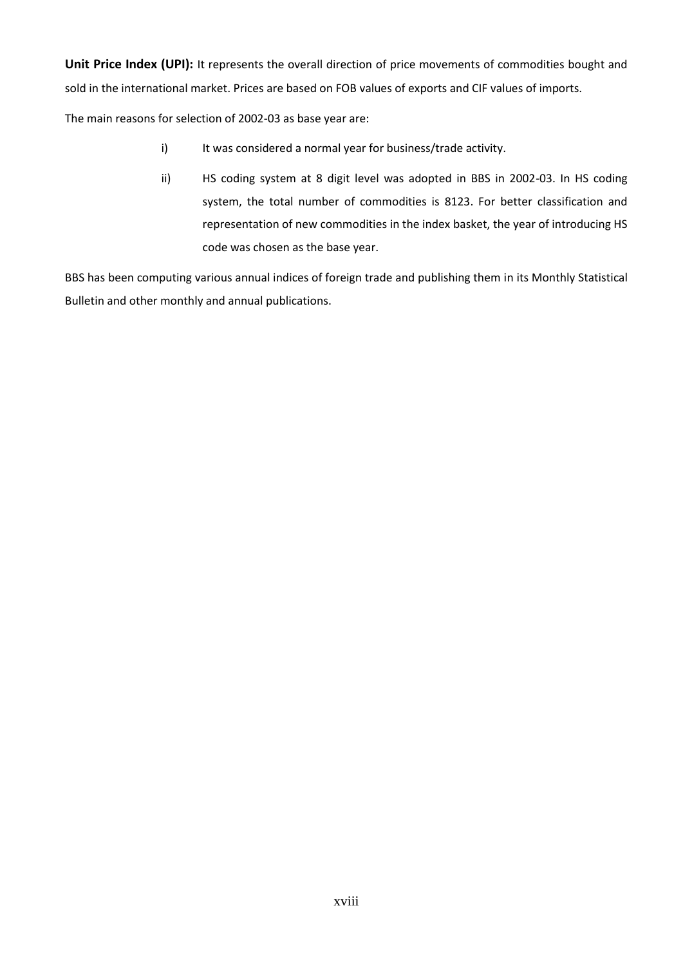**Unit Price Index (UPI):** It represents the overall direction of price movements of commodities bought and sold in the international market. Prices are based on FOB values of exports and CIF values of imports.

The main reasons for selection of 2002-03 as base year are:

- i) It was considered a normal year for business/trade activity.
- ii) HS coding system at 8 digit level was adopted in BBS in 2002-03. In HS coding system, the total number of commodities is 8123. For better classification and representation of new commodities in the index basket, the year of introducing HS code was chosen as the base year.

BBS has been computing various annual indices of foreign trade and publishing them in its Monthly Statistical Bulletin and other monthly and annual publications.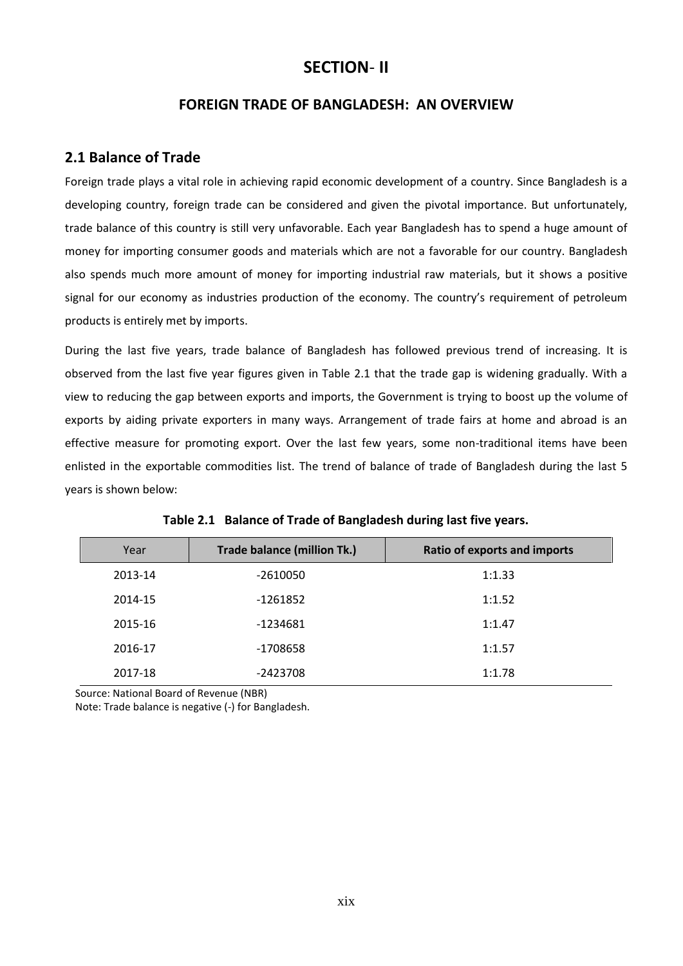## **SECTION**- **II**

#### **FOREIGN TRADE OF BANGLADESH: AN OVERVIEW**

#### **2.1 Balance of Trade**

Foreign trade plays a vital role in achieving rapid economic development of a country. Since Bangladesh is a developing country, foreign trade can be considered and given the pivotal importance. But unfortunately, trade balance of this country is still very unfavorable. Each year Bangladesh has to spend a huge amount of money for importing consumer goods and materials which are not a favorable for our country. Bangladesh also spends much more amount of money for importing industrial raw materials, but it shows a positive signal for our economy as industries production of the economy. The country's requirement of petroleum products is entirely met by imports.

During the last five years, trade balance of Bangladesh has followed previous trend of increasing. It is observed from the last five year figures given in Table 2.1 that the trade gap is widening gradually. With a view to reducing the gap between exports and imports, the Government is trying to boost up the volume of exports by aiding private exporters in many ways. Arrangement of trade fairs at home and abroad is an effective measure for promoting export. Over the last few years, some non-traditional items have been enlisted in the exportable commodities list. The trend of balance of trade of Bangladesh during the last 5 years is shown below:

| Year    | <b>Trade balance (million Tk.)</b> | <b>Ratio of exports and imports</b> |
|---------|------------------------------------|-------------------------------------|
| 2013-14 | $-2610050$                         | 1:1.33                              |
| 2014-15 | -1261852                           | 1:1.52                              |
| 2015-16 | $-1234681$                         | 1:1.47                              |
| 2016-17 | -1708658                           | 1:1.57                              |
| 2017-18 | -2423708                           | 1:1.78                              |

|  |  |  | Table 2.1 Balance of Trade of Bangladesh during last five years. |
|--|--|--|------------------------------------------------------------------|
|--|--|--|------------------------------------------------------------------|

Source: National Board of Revenue (NBR)

Note: Trade balance is negative (-) for Bangladesh.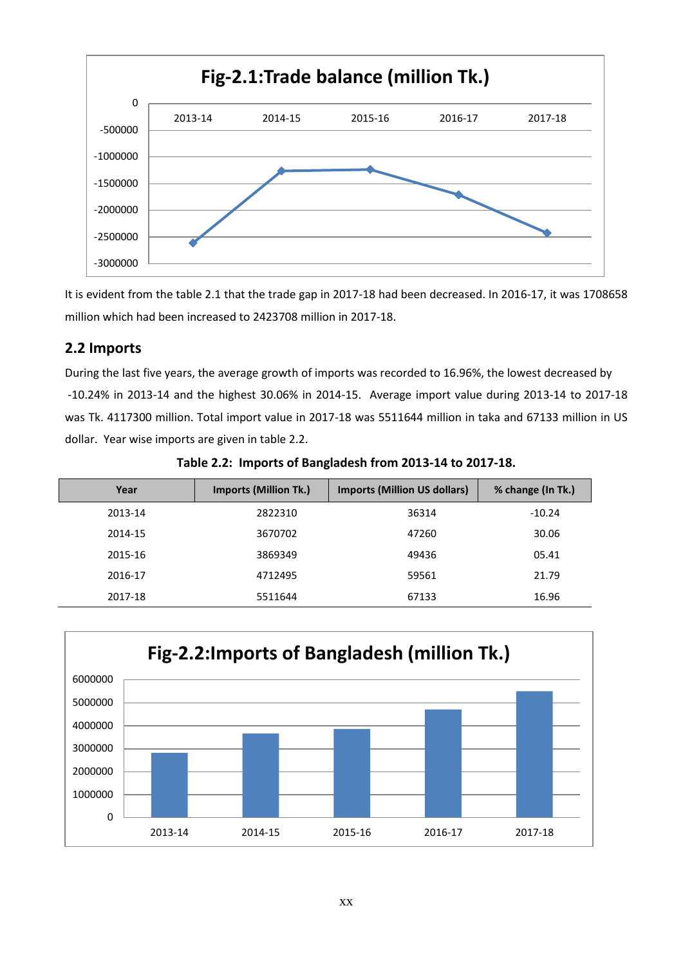

It is evident from the table 2.1 that the trade gap in 2017-18 had been decreased. In 2016-17, it was 1708658 million which had been increased to 2423708 million in 2017-18.

#### **2.2 Imports**

During the last five years, the average growth of imports was recorded to 16.96%, the lowest decreased by -10.24% in 2013-14 and the highest 30.06% in 2014-15. Average import value during 2013-14 to 2017-18 was Tk. 4117300 million. Total import value in 2017-18 was 5511644 million in taka and 67133 million in US dollar. Year wise imports are given in table 2.2.

| Year    | <b>Imports (Million Tk.)</b> | <b>Imports (Million US dollars)</b> | % change (In Tk.) |
|---------|------------------------------|-------------------------------------|-------------------|
| 2013-14 | 2822310                      | 36314                               | $-10.24$          |
| 2014-15 | 3670702                      | 47260                               | 30.06             |
| 2015-16 | 3869349                      | 49436                               | 05.41             |
| 2016-17 | 4712495                      | 59561                               | 21.79             |
| 2017-18 | 5511644                      | 67133                               | 16.96             |

**Table 2.2: Imports of Bangladesh from 2013-14 to 2017-18.**

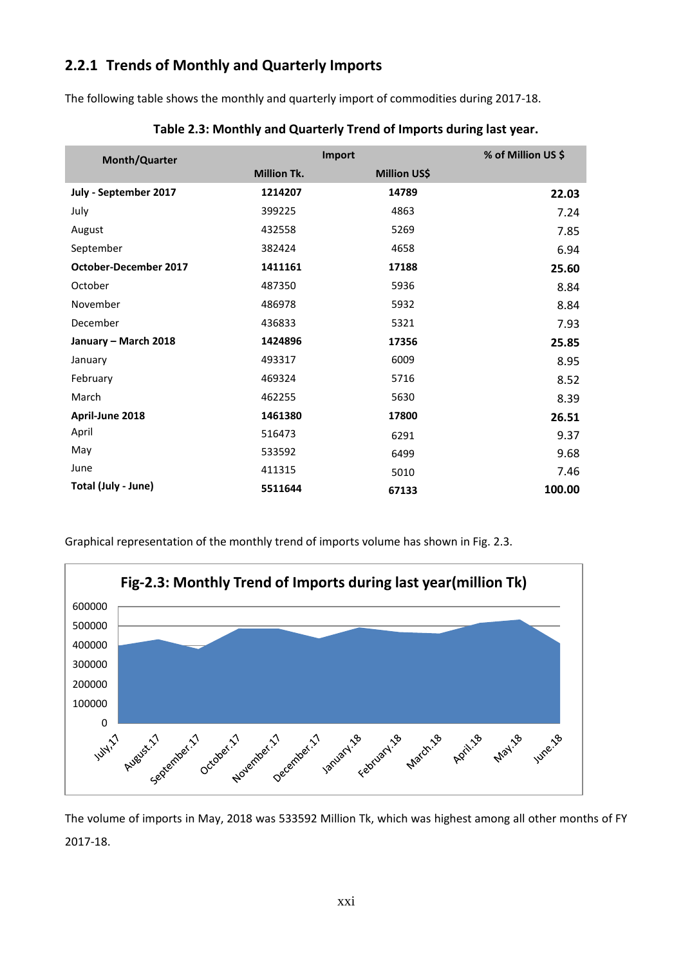## **2.2.1 Trends of Monthly and Quarterly Imports**

The following table shows the monthly and quarterly import of commodities during 2017-18.

| <b>Month/Quarter</b>         |                    | Import              |        |  |
|------------------------------|--------------------|---------------------|--------|--|
|                              | <b>Million Tk.</b> | <b>Million US\$</b> |        |  |
| July - September 2017        | 1214207            | 14789               | 22.03  |  |
| July                         | 399225             | 4863                | 7.24   |  |
| August                       | 432558             | 5269                | 7.85   |  |
| September                    | 382424             | 4658                | 6.94   |  |
| <b>October-December 2017</b> | 1411161            | 17188               | 25.60  |  |
| October                      | 487350             | 5936                | 8.84   |  |
| November                     | 486978             | 5932                | 8.84   |  |
| December                     | 436833             | 5321                | 7.93   |  |
| January - March 2018         | 1424896            | 17356               | 25.85  |  |
| January                      | 493317             | 6009                | 8.95   |  |
| February                     | 469324             | 5716                | 8.52   |  |
| March                        | 462255             | 5630                | 8.39   |  |
| April-June 2018              | 1461380            | 17800               | 26.51  |  |
| April                        | 516473             | 6291                | 9.37   |  |
| May                          | 533592             | 6499                | 9.68   |  |
| June                         | 411315             | 5010                | 7.46   |  |
| Total (July - June)          | 5511644            | 67133               | 100.00 |  |

**Table 2.3: Monthly and Quarterly Trend of Imports during last year.**

Graphical representation of the monthly trend of imports volume has shown in Fig. 2.3.



The volume of imports in May, 2018 was 533592 Million Tk, which was highest among all other months of FY 2017-18.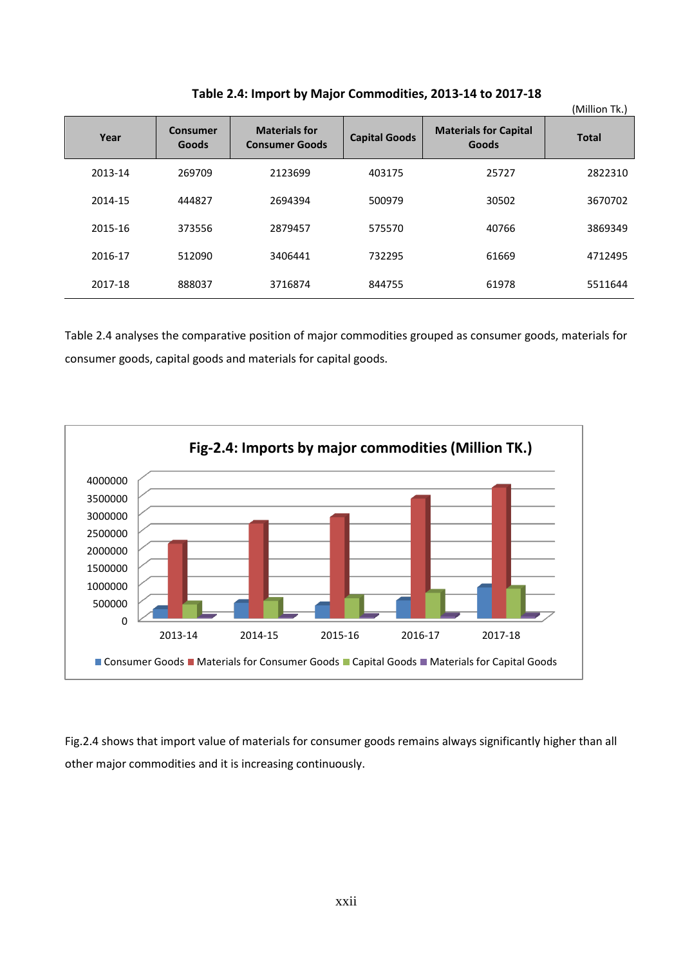|         |                                 |                                               |                      |                                       | (Million Tk.) |
|---------|---------------------------------|-----------------------------------------------|----------------------|---------------------------------------|---------------|
| Year    | <b>Consumer</b><br><b>Goods</b> | <b>Materials for</b><br><b>Consumer Goods</b> | <b>Capital Goods</b> | <b>Materials for Capital</b><br>Goods | <b>Total</b>  |
| 2013-14 | 269709                          | 2123699                                       | 403175               | 25727                                 | 2822310       |
| 2014-15 | 444827                          | 2694394                                       | 500979               | 30502                                 | 3670702       |
| 2015-16 | 373556                          | 2879457                                       | 575570               | 40766                                 | 3869349       |
| 2016-17 | 512090                          | 3406441                                       | 732295               | 61669                                 | 4712495       |
| 2017-18 | 888037                          | 3716874                                       | 844755               | 61978                                 | 5511644       |

**Table 2.4: Import by Major Commodities, 2013-14 to 2017-18**

Table 2.4 analyses the comparative position of major commodities grouped as consumer goods, materials for consumer goods, capital goods and materials for capital goods.



Fig.2.4 shows that import value of materials for consumer goods remains always significantly higher than all other major commodities and it is increasing continuously.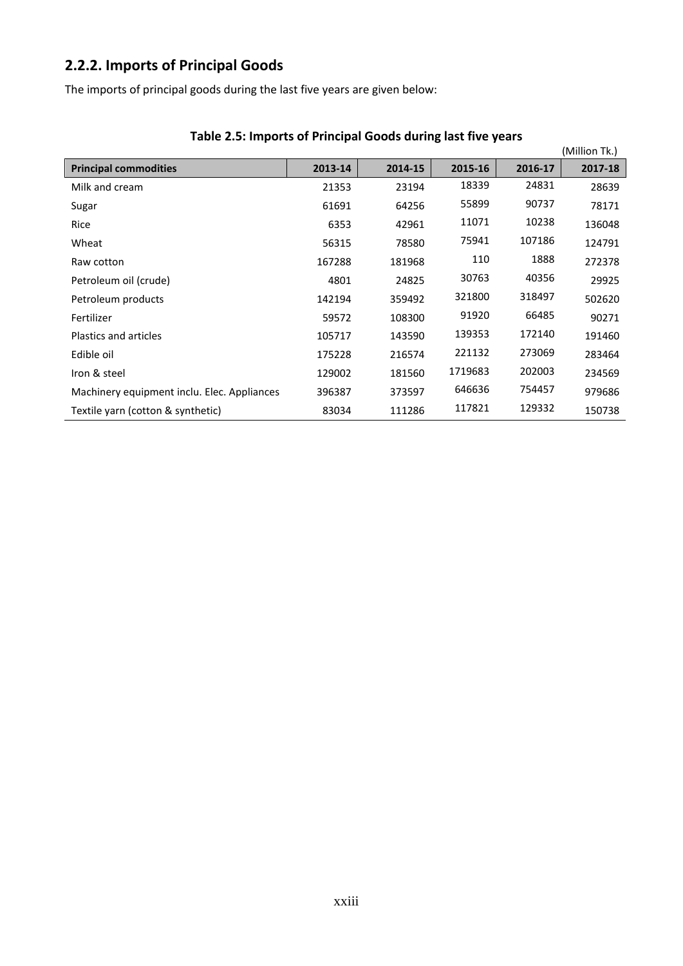# **2.2.2. Imports of Principal Goods**

The imports of principal goods during the last five years are given below:

| Table 2.5. Imports of Frincipal Goods during last live years |         |         |         |         | (Million Tk.) |
|--------------------------------------------------------------|---------|---------|---------|---------|---------------|
| <b>Principal commodities</b>                                 | 2013-14 | 2014-15 | 2015-16 | 2016-17 | 2017-18       |
| Milk and cream                                               | 21353   | 23194   | 18339   | 24831   | 28639         |
| Sugar                                                        | 61691   | 64256   | 55899   | 90737   | 78171         |
| Rice                                                         | 6353    | 42961   | 11071   | 10238   | 136048        |
| Wheat                                                        | 56315   | 78580   | 75941   | 107186  | 124791        |
| Raw cotton                                                   | 167288  | 181968  | 110     | 1888    | 272378        |
| Petroleum oil (crude)                                        | 4801    | 24825   | 30763   | 40356   | 29925         |
| Petroleum products                                           | 142194  | 359492  | 321800  | 318497  | 502620        |
| Fertilizer                                                   | 59572   | 108300  | 91920   | 66485   | 90271         |
| Plastics and articles                                        | 105717  | 143590  | 139353  | 172140  | 191460        |
| Edible oil                                                   | 175228  | 216574  | 221132  | 273069  | 283464        |
| Iron & steel                                                 | 129002  | 181560  | 1719683 | 202003  | 234569        |
| Machinery equipment inclu. Elec. Appliances                  | 396387  | 373597  | 646636  | 754457  | 979686        |
| Textile yarn (cotton & synthetic)                            | 83034   | 111286  | 117821  | 129332  | 150738        |

## **Table 2.5: Imports of Principal Goods during last five years**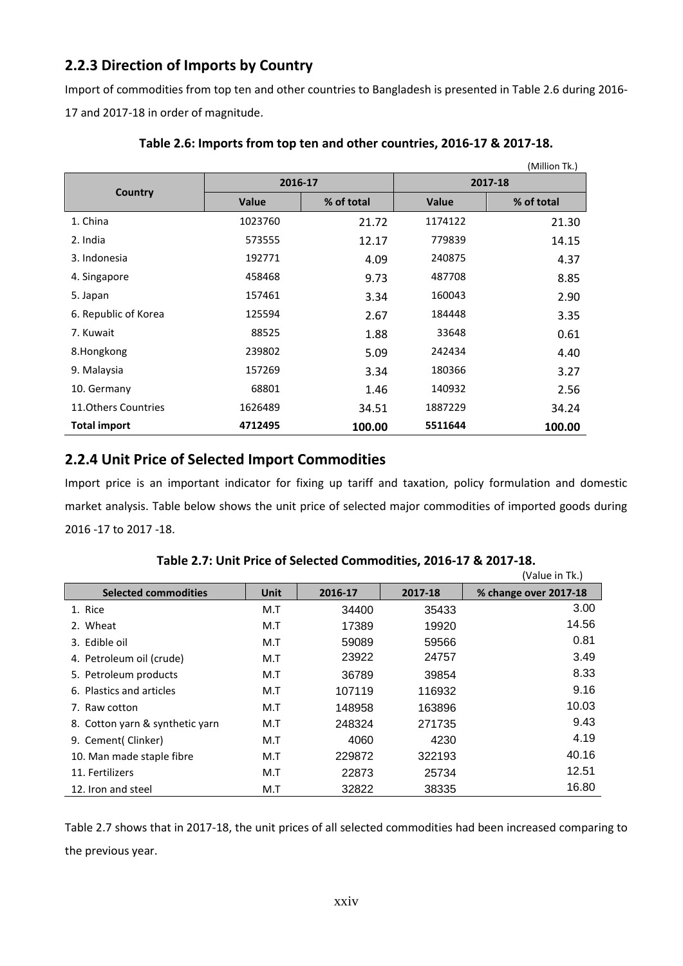## **2.2.3 Direction of Imports by Country**

Import of commodities from top ten and other countries to Bangladesh is presented in Table 2.6 during 2016- 17 and 2017-18 in order of magnitude.

|                      |              |            |              | (Million Tk.) |  |
|----------------------|--------------|------------|--------------|---------------|--|
|                      | 2016-17      |            | 2017-18      |               |  |
| Country              | <b>Value</b> | % of total | <b>Value</b> | % of total    |  |
| 1. China             | 1023760      | 21.72      | 1174122      | 21.30         |  |
| 2. India             | 573555       | 12.17      | 779839       | 14.15         |  |
| 3. Indonesia         | 192771       | 4.09       | 240875       | 4.37          |  |
| 4. Singapore         | 458468       | 9.73       | 487708       | 8.85          |  |
| 5. Japan             | 157461       | 3.34       | 160043       | 2.90          |  |
| 6. Republic of Korea | 125594       | 2.67       | 184448       | 3.35          |  |
| 7. Kuwait            | 88525        | 1.88       | 33648        | 0.61          |  |
| 8.Hongkong           | 239802       | 5.09       | 242434       | 4.40          |  |
| 9. Malaysia          | 157269       | 3.34       | 180366       | 3.27          |  |
| 10. Germany          | 68801        | 1.46       | 140932       | 2.56          |  |
| 11. Others Countries | 1626489      | 34.51      | 1887229      | 34.24         |  |
| <b>Total import</b>  | 4712495      | 100.00     | 5511644      | 100.00        |  |

#### **Table 2.6: Imports from top ten and other countries, 2016-17 & 2017-18.**

## **2.2.4 Unit Price of Selected Import Commodities**

Import price is an important indicator for fixing up tariff and taxation, policy formulation and domestic market analysis. Table below shows the unit price of selected major commodities of imported goods during 2016 -17 to 2017 -18.

|                                 |      |         |         | (Value in Tk.)        |
|---------------------------------|------|---------|---------|-----------------------|
| <b>Selected commodities</b>     | Unit | 2016-17 | 2017-18 | % change over 2017-18 |
| 1. Rice                         | M.T  | 34400   | 35433   | 3.00                  |
| 2. Wheat                        | M.T  | 17389   | 19920   | 14.56                 |
| 3. Edible oil                   | M.T  | 59089   | 59566   | 0.81                  |
| 4. Petroleum oil (crude)        | M.T  | 23922   | 24757   | 3.49                  |
| 5. Petroleum products           | M.T  | 36789   | 39854   | 8.33                  |
| 6. Plastics and articles        | M.T  | 107119  | 116932  | 9.16                  |
| 7. Raw cotton                   | M.T  | 148958  | 163896  | 10.03                 |
| 8. Cotton yarn & synthetic yarn | M.T  | 248324  | 271735  | 9.43                  |
| 9. Cement( Clinker)             | M.T  | 4060    | 4230    | 4.19                  |
| 10. Man made staple fibre       | M.T  | 229872  | 322193  | 40.16                 |
| 11. Fertilizers                 | M.T  | 22873   | 25734   | 12.51                 |
| 12. Iron and steel              | M.T  | 32822   | 38335   | 16.80                 |

**Table 2.7: Unit Price of Selected Commodities, 2016-17 & 2017-18.**

Table 2.7 shows that in 2017-18, the unit prices of all selected commodities had been increased comparing to the previous year.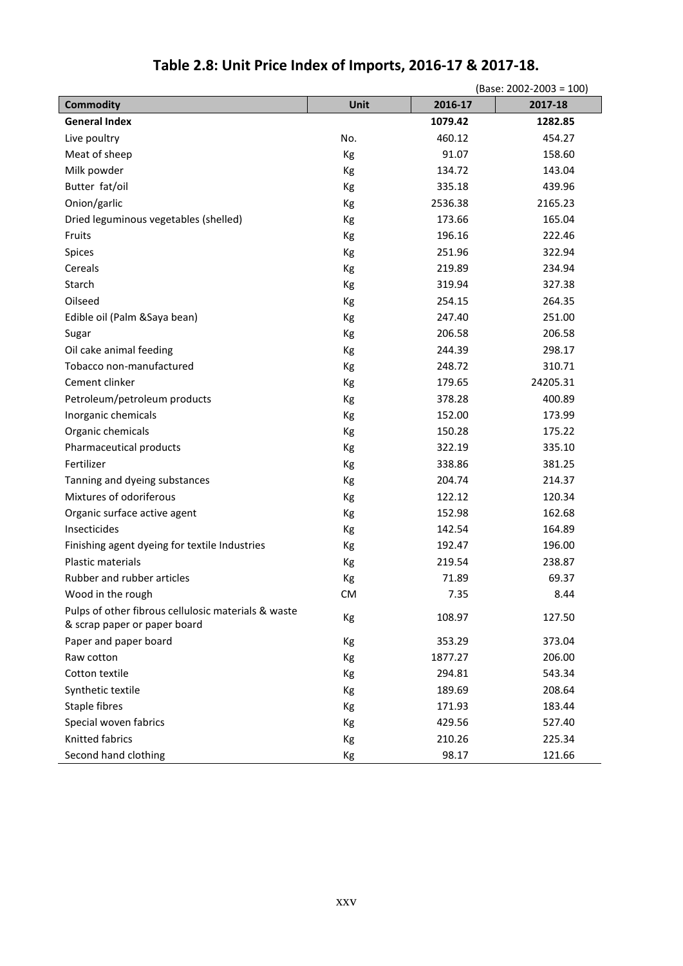|                                                                                     |           |         | (Base: 2002-2003 = 100) |
|-------------------------------------------------------------------------------------|-----------|---------|-------------------------|
| <b>Commodity</b>                                                                    | Unit      | 2016-17 | 2017-18                 |
| <b>General Index</b>                                                                |           | 1079.42 | 1282.85                 |
| Live poultry                                                                        | No.       | 460.12  | 454.27                  |
| Meat of sheep                                                                       | Kg        | 91.07   | 158.60                  |
| Milk powder                                                                         | Кg        | 134.72  | 143.04                  |
| Butter fat/oil                                                                      | Кg        | 335.18  | 439.96                  |
| Onion/garlic                                                                        | Kg        | 2536.38 | 2165.23                 |
| Dried leguminous vegetables (shelled)                                               | Kg        | 173.66  | 165.04                  |
| Fruits                                                                              | Кg        | 196.16  | 222.46                  |
| Spices                                                                              | Kg        | 251.96  | 322.94                  |
| Cereals                                                                             | Kg        | 219.89  | 234.94                  |
| Starch                                                                              | Кg        | 319.94  | 327.38                  |
| Oilseed                                                                             | Kg        | 254.15  | 264.35                  |
| Edible oil (Palm & Saya bean)                                                       | Kg        | 247.40  | 251.00                  |
| Sugar                                                                               | Kg        | 206.58  | 206.58                  |
| Oil cake animal feeding                                                             | Kg        | 244.39  | 298.17                  |
| Tobacco non-manufactured                                                            | Кg        | 248.72  | 310.71                  |
| Cement clinker                                                                      | Kg        | 179.65  | 24205.31                |
| Petroleum/petroleum products                                                        | Kg        | 378.28  | 400.89                  |
| Inorganic chemicals                                                                 | Kg        | 152.00  | 173.99                  |
| Organic chemicals                                                                   | Kg        | 150.28  | 175.22                  |
| Pharmaceutical products                                                             | Kg        | 322.19  | 335.10                  |
| Fertilizer                                                                          | Kg        | 338.86  | 381.25                  |
| Tanning and dyeing substances                                                       | Кg        | 204.74  | 214.37                  |
| Mixtures of odoriferous                                                             | Kg        | 122.12  | 120.34                  |
| Organic surface active agent                                                        | Kg        | 152.98  | 162.68                  |
| Insecticides                                                                        | Kg        | 142.54  | 164.89                  |
| Finishing agent dyeing for textile Industries                                       | Кg        | 192.47  | 196.00                  |
| Plastic materials                                                                   | Kg        | 219.54  | 238.87                  |
| Rubber and rubber articles                                                          | Kg        | 71.89   | 69.37                   |
| Wood in the rough                                                                   | <b>CM</b> | 7.35    | 8.44                    |
| Pulps of other fibrous cellulosic materials & waste<br>& scrap paper or paper board | Кg        | 108.97  | 127.50                  |
| Paper and paper board                                                               | Kg        | 353.29  | 373.04                  |
| Raw cotton                                                                          | Kg        | 1877.27 | 206.00                  |
| Cotton textile                                                                      | Kg        | 294.81  | 543.34                  |
| Synthetic textile                                                                   | Кg        | 189.69  | 208.64                  |
| Staple fibres                                                                       | Kg        | 171.93  | 183.44                  |
| Special woven fabrics                                                               | Кg        | 429.56  | 527.40                  |
| Knitted fabrics                                                                     | Кg        | 210.26  | 225.34                  |
| Second hand clothing                                                                | Кg        | 98.17   | 121.66                  |

# **Table 2.8: Unit Price Index of Imports, 2016-17 & 2017-18.**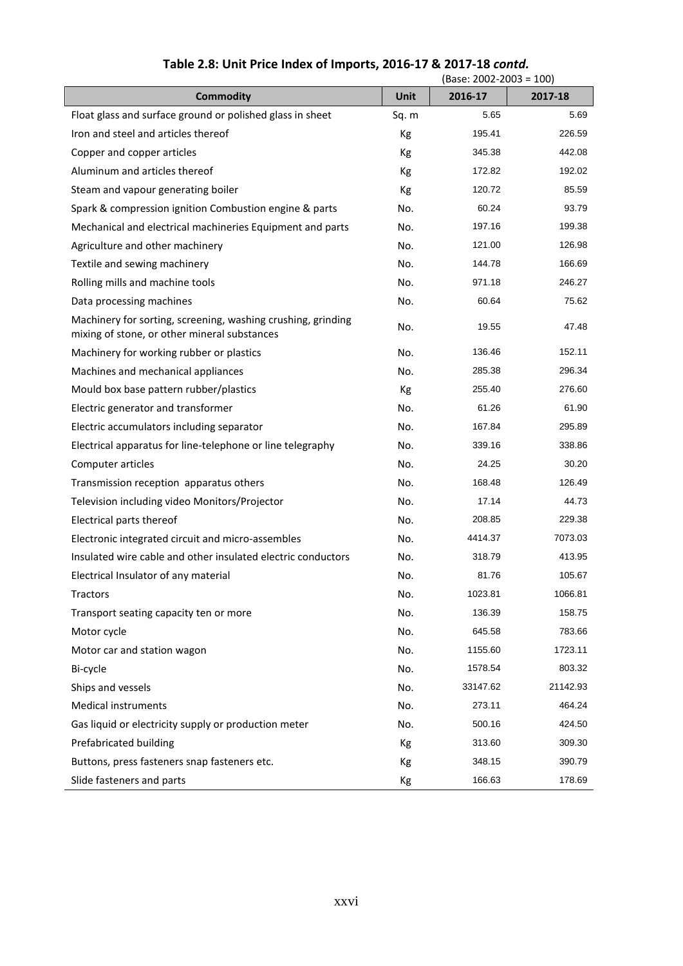|                                                                                                              |       | (Base: 2002-2003 = 100) |          |
|--------------------------------------------------------------------------------------------------------------|-------|-------------------------|----------|
| <b>Commodity</b>                                                                                             | Unit  | 2016-17                 | 2017-18  |
| Float glass and surface ground or polished glass in sheet                                                    | Sq. m | 5.65                    | 5.69     |
| Iron and steel and articles thereof                                                                          | Kg    | 195.41                  | 226.59   |
| Copper and copper articles                                                                                   | Кg    | 345.38                  | 442.08   |
| Aluminum and articles thereof                                                                                | Кg    | 172.82                  | 192.02   |
| Steam and vapour generating boiler                                                                           | Kg    | 120.72                  | 85.59    |
| Spark & compression ignition Combustion engine & parts                                                       | No.   | 60.24                   | 93.79    |
| Mechanical and electrical machineries Equipment and parts                                                    | No.   | 197.16                  | 199.38   |
| Agriculture and other machinery                                                                              | No.   | 121.00                  | 126.98   |
| Textile and sewing machinery                                                                                 | No.   | 144.78                  | 166.69   |
| Rolling mills and machine tools                                                                              | No.   | 971.18                  | 246.27   |
| Data processing machines                                                                                     | No.   | 60.64                   | 75.62    |
| Machinery for sorting, screening, washing crushing, grinding<br>mixing of stone, or other mineral substances | No.   | 19.55                   | 47.48    |
| Machinery for working rubber or plastics                                                                     | No.   | 136.46                  | 152.11   |
| Machines and mechanical appliances                                                                           | No.   | 285.38                  | 296.34   |
| Mould box base pattern rubber/plastics                                                                       | Кg    | 255.40                  | 276.60   |
| Electric generator and transformer                                                                           | No.   | 61.26                   | 61.90    |
| Electric accumulators including separator                                                                    | No.   | 167.84                  | 295.89   |
| Electrical apparatus for line-telephone or line telegraphy                                                   | No.   | 339.16                  | 338.86   |
| Computer articles                                                                                            | No.   | 24.25                   | 30.20    |
| Transmission reception apparatus others                                                                      | No.   | 168.48                  | 126.49   |
| Television including video Monitors/Projector                                                                | No.   | 17.14                   | 44.73    |
| Electrical parts thereof                                                                                     | No.   | 208.85                  | 229.38   |
| Electronic integrated circuit and micro-assembles                                                            | No.   | 4414.37                 | 7073.03  |
| Insulated wire cable and other insulated electric conductors                                                 | No.   | 318.79                  | 413.95   |
| Electrical Insulator of any material                                                                         | No.   | 81.76                   | 105.67   |
| Tractors                                                                                                     | No.   | 1023.81                 | 1066.81  |
| Transport seating capacity ten or more                                                                       | No.   | 136.39                  | 158.75   |
| Motor cycle                                                                                                  | No.   | 645.58                  | 783.66   |
| Motor car and station wagon                                                                                  | No.   | 1155.60                 | 1723.11  |
| Bi-cycle                                                                                                     | No.   | 1578.54                 | 803.32   |
| Ships and vessels                                                                                            | No.   | 33147.62                | 21142.93 |
| <b>Medical instruments</b>                                                                                   | No.   | 273.11                  | 464.24   |
| Gas liquid or electricity supply or production meter                                                         | No.   | 500.16                  | 424.50   |
| Prefabricated building                                                                                       | Kg    | 313.60                  | 309.30   |
| Buttons, press fasteners snap fasteners etc.                                                                 | Кg    | 348.15                  | 390.79   |
| Slide fasteners and parts                                                                                    | Кg    | 166.63                  | 178.69   |

## **Table 2.8: Unit Price Index of Imports, 2016-17 & 2017-18** *contd.*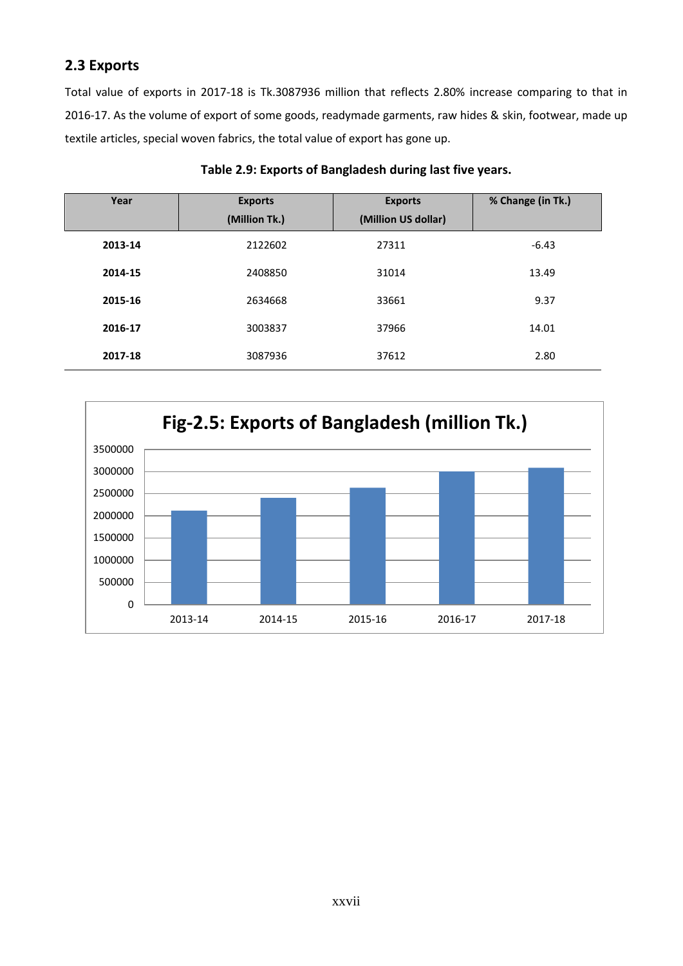## **2.3 Exports**

Total value of exports in 2017-18 is Tk.3087936 million that reflects 2.80% increase comparing to that in 2016-17. As the volume of export of some goods, readymade garments, raw hides & skin, footwear, made up textile articles, special woven fabrics, the total value of export has gone up.

| Year    | <b>Exports</b><br>(Million Tk.) | <b>Exports</b><br>(Million US dollar) | % Change (in Tk.) |
|---------|---------------------------------|---------------------------------------|-------------------|
| 2013-14 | 2122602                         | 27311                                 | $-6.43$           |
| 2014-15 | 2408850                         | 31014                                 | 13.49             |
| 2015-16 | 2634668                         | 33661                                 | 9.37              |
| 2016-17 | 3003837                         | 37966                                 | 14.01             |
| 2017-18 | 3087936                         | 37612                                 | 2.80              |

#### **Table 2.9: Exports of Bangladesh during last five years.**

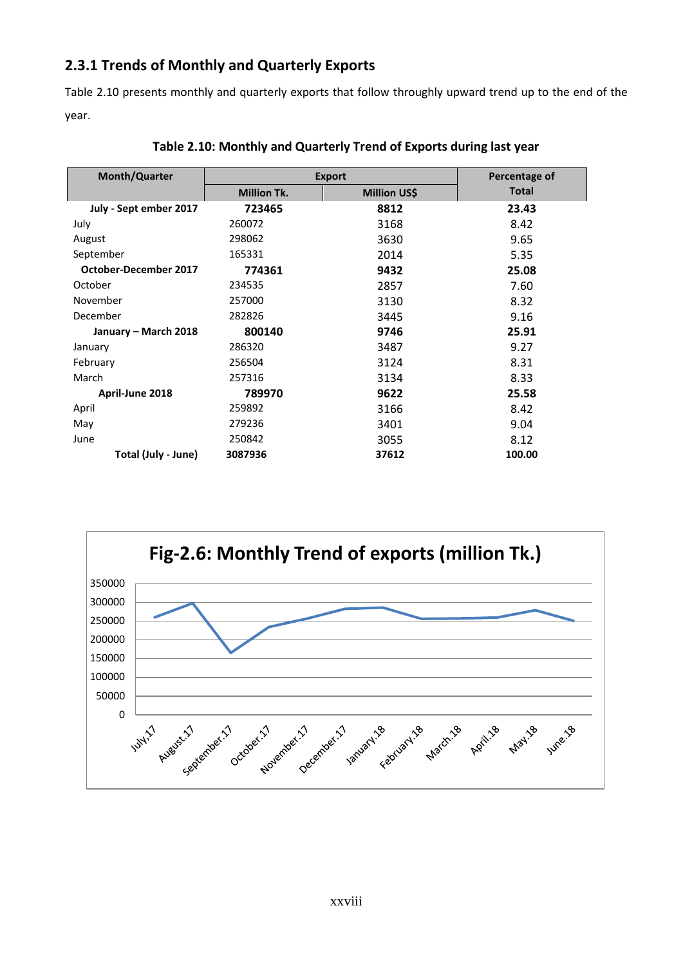## **2.3.1 Trends of Monthly and Quarterly Exports**

Table 2.10 presents monthly and quarterly exports that follow throughly upward trend up to the end of the year.

| <b>Month/Quarter</b>   | <b>Export</b>      |                     | Percentage of |
|------------------------|--------------------|---------------------|---------------|
|                        | <b>Million Tk.</b> | <b>Million US\$</b> | Total         |
| July - Sept ember 2017 | 723465             | 8812                | 23.43         |
| July                   | 260072             | 3168                | 8.42          |
| August                 | 298062             | 3630                | 9.65          |
| September              | 165331             | 2014                | 5.35          |
| October-December 2017  | 774361             | 9432                | 25.08         |
| October                | 234535             | 2857                | 7.60          |
| November               | 257000             | 3130                | 8.32          |
| December               | 282826             | 3445                | 9.16          |
| January – March 2018   | 800140             | 9746                | 25.91         |
| January                | 286320             | 3487                | 9.27          |
| February               | 256504             | 3124                | 8.31          |
| March                  | 257316             | 3134                | 8.33          |
| April-June 2018        | 789970             | 9622                | 25.58         |
| April                  | 259892             | 3166                | 8.42          |
| May                    | 279236             | 3401                | 9.04          |
| June                   | 250842             | 3055                | 8.12          |
| Total (July - June)    | 3087936            | 37612               | 100.00        |

#### **Table 2.10: Monthly and Quarterly Trend of Exports during last year**

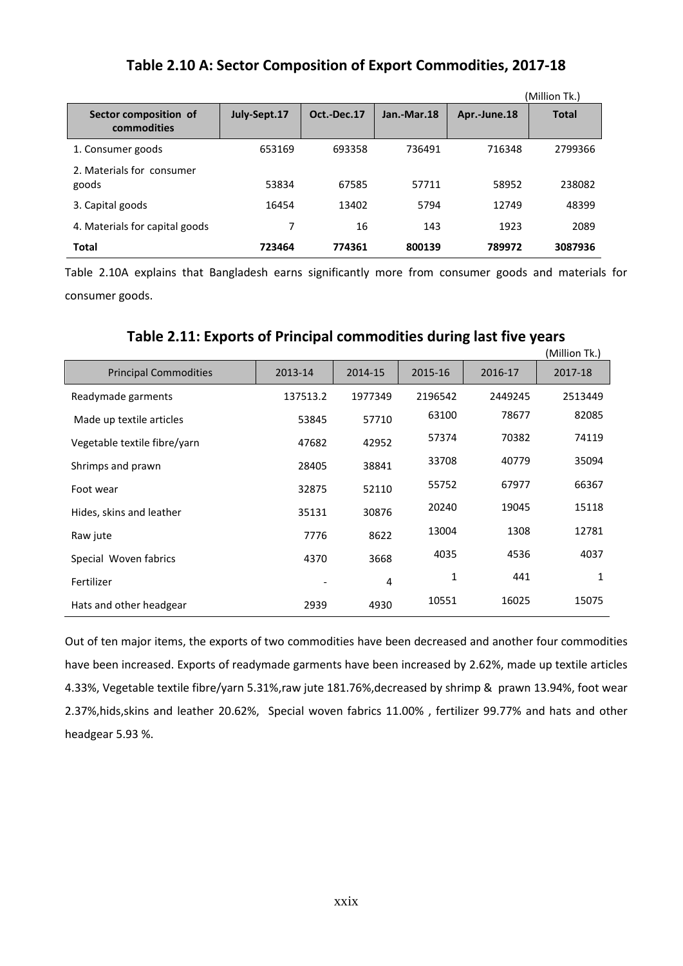## **Table 2.10 A: Sector Composition of Export Commodities, 2017-18**

|                                      |              |             |             |              | (Million Tk.) |
|--------------------------------------|--------------|-------------|-------------|--------------|---------------|
| Sector composition of<br>commodities | July-Sept.17 | Oct.-Dec.17 | Jan.-Mar.18 | Apr.-June.18 | <b>Total</b>  |
| 1. Consumer goods                    | 653169       | 693358      | 736491      | 716348       | 2799366       |
| 2. Materials for consumer<br>goods   | 53834        | 67585       | 57711       | 58952        | 238082        |
| 3. Capital goods                     | 16454        | 13402       | 5794        | 12749        | 48399         |
| 4. Materials for capital goods       |              | 16          | 143         | 1923         | 2089          |
| <b>Total</b>                         | 723464       | 774361      | 800139      | 789972       | 3087936       |

Table 2.10A explains that Bangladesh earns significantly more from consumer goods and materials for consumer goods.

## **Table 2.11: Exports of Principal commodities during last five years**

|                              |          |         |         |         | (Million Tk.) |
|------------------------------|----------|---------|---------|---------|---------------|
| <b>Principal Commodities</b> | 2013-14  | 2014-15 | 2015-16 | 2016-17 | 2017-18       |
| Readymade garments           | 137513.2 | 1977349 | 2196542 | 2449245 | 2513449       |
| Made up textile articles     | 53845    | 57710   | 63100   | 78677   | 82085         |
| Vegetable textile fibre/yarn | 47682    | 42952   | 57374   | 70382   | 74119         |
| Shrimps and prawn            | 28405    | 38841   | 33708   | 40779   | 35094         |
| Foot wear                    | 32875    | 52110   | 55752   | 67977   | 66367         |
| Hides, skins and leather     | 35131    | 30876   | 20240   | 19045   | 15118         |
| Raw jute                     | 7776     | 8622    | 13004   | 1308    | 12781         |
| Special Woven fabrics        | 4370     | 3668    | 4035    | 4536    | 4037          |
| Fertilizer                   |          | 4       | 1       | 441     | 1             |
| Hats and other headgear      | 2939     | 4930    | 10551   | 16025   | 15075         |

Out of ten major items, the exports of two commodities have been decreased and another four commodities have been increased. Exports of readymade garments have been increased by 2.62%, made up textile articles 4.33%, Vegetable textile fibre/yarn 5.31%,raw jute 181.76%,decreased by shrimp & prawn 13.94%, foot wear 2.37%,hids,skins and leather 20.62%, Special woven fabrics 11.00% , fertilizer 99.77% and hats and other headgear 5.93 %.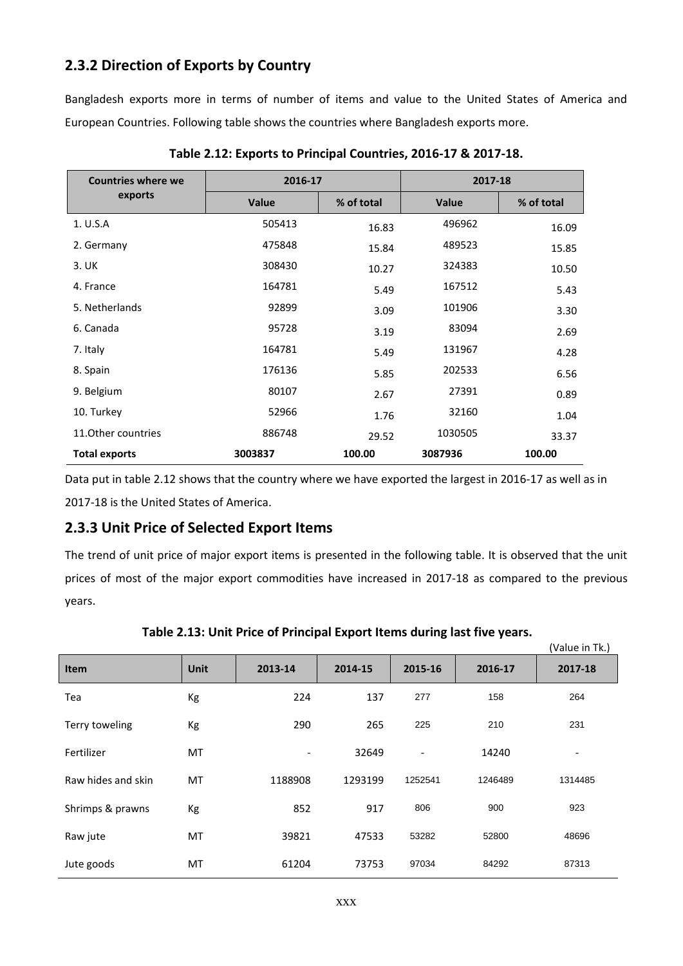## **2.3.2 Direction of Exports by Country**

Bangladesh exports more in terms of number of items and value to the United States of America and European Countries. Following table shows the countries where Bangladesh exports more.

| <b>Countries where we</b> | 2016-17      |            | 2017-18      |            |  |
|---------------------------|--------------|------------|--------------|------------|--|
| exports                   | <b>Value</b> | % of total | <b>Value</b> | % of total |  |
| 1. U.S.A                  | 505413       | 16.83      | 496962       | 16.09      |  |
| 2. Germany                | 475848       | 15.84      | 489523       | 15.85      |  |
| 3. UK                     | 308430       | 10.27      | 324383       | 10.50      |  |
| 4. France                 | 164781       | 5.49       | 167512       | 5.43       |  |
| 5. Netherlands            | 92899        | 3.09       | 101906       | 3.30       |  |
| 6. Canada                 | 95728        | 3.19       | 83094        | 2.69       |  |
| 7. Italy                  | 164781       | 5.49       | 131967       | 4.28       |  |
| 8. Spain                  | 176136       | 5.85       | 202533       | 6.56       |  |
| 9. Belgium                | 80107        | 2.67       | 27391        | 0.89       |  |
| 10. Turkey                | 52966        | 1.76       | 32160        | 1.04       |  |
| 11. Other countries       | 886748       | 29.52      | 1030505      | 33.37      |  |
| <b>Total exports</b>      | 3003837      | 100.00     | 3087936      | 100.00     |  |

**Table 2.12: Exports to Principal Countries, 2016-17 & 2017-18.**

Data put in table 2.12 shows that the country where we have exported the largest in 2016-17 as well as in 2017-18 is the United States of America.

## **2.3.3 Unit Price of Selected Export Items**

The trend of unit price of major export items is presented in the following table. It is observed that the unit prices of most of the major export commodities have increased in 2017-18 as compared to the previous years.

| <b>Item</b>        | <b>Unit</b> | 2013-14                  | 2014-15 | 2015-16                  | 2016-17 | 2017-18 |
|--------------------|-------------|--------------------------|---------|--------------------------|---------|---------|
| Tea                | Кg          | 224                      | 137     | 277                      | 158     | 264     |
| Terry toweling     | Kg          | 290                      | 265     | 225                      | 210     | 231     |
| Fertilizer         | MT          | $\overline{\phantom{a}}$ | 32649   | $\overline{\phantom{a}}$ | 14240   |         |
| Raw hides and skin | MT          | 1188908                  | 1293199 | 1252541                  | 1246489 | 1314485 |
| Shrimps & prawns   | Кg          | 852                      | 917     | 806                      | 900     | 923     |
| Raw jute           | MT          | 39821                    | 47533   | 53282                    | 52800   | 48696   |
| Jute goods         | MT          | 61204                    | 73753   | 97034                    | 84292   | 87313   |

**Table 2.13: Unit Price of Principal Export Items during last five years.**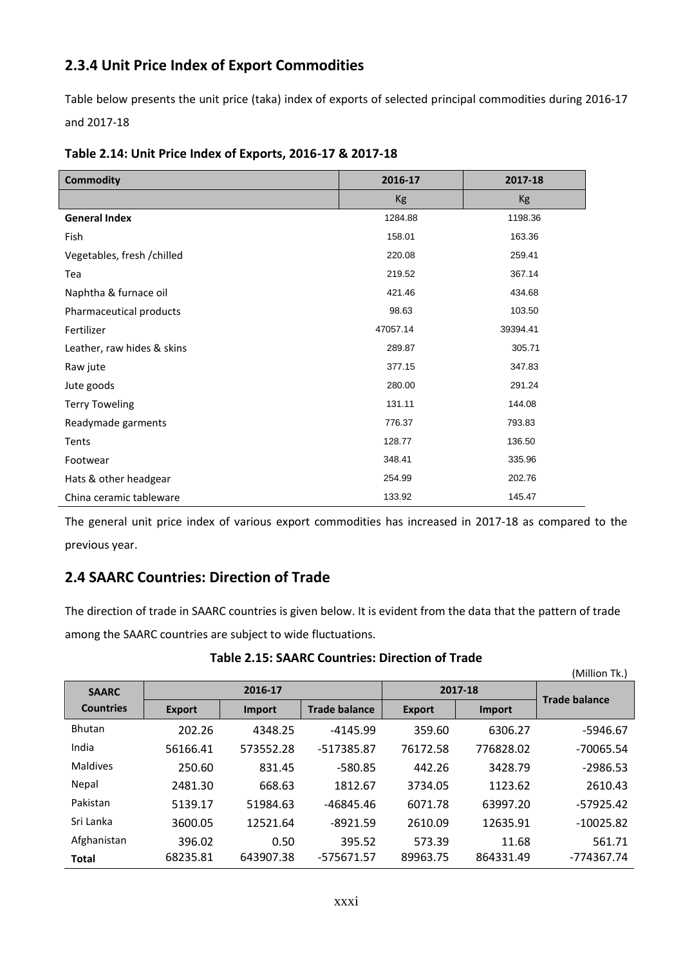## **2.3.4 Unit Price Index of Export Commodities**

Table below presents the unit price (taka) index of exports of selected principal commodities during 2016-17 and 2017-18

| <b>Commodity</b>            | 2016-17   | 2017-18   |
|-----------------------------|-----------|-----------|
|                             | <b>Kg</b> | <b>Kg</b> |
| <b>General Index</b>        | 1284.88   | 1198.36   |
| Fish                        | 158.01    | 163.36    |
| Vegetables, fresh / chilled | 220.08    | 259.41    |
| Tea                         | 219.52    | 367.14    |
| Naphtha & furnace oil       | 421.46    | 434.68    |
| Pharmaceutical products     | 98.63     | 103.50    |
| Fertilizer                  | 47057.14  | 39394.41  |
| Leather, raw hides & skins  | 289.87    | 305.71    |
| Raw jute                    | 377.15    | 347.83    |
| Jute goods                  | 280.00    | 291.24    |
| <b>Terry Toweling</b>       | 131.11    | 144.08    |
| Readymade garments          | 776.37    | 793.83    |
| Tents                       | 128.77    | 136.50    |
| Footwear                    | 348.41    | 335.96    |
| Hats & other headgear       | 254.99    | 202.76    |
| China ceramic tableware     | 133.92    | 145.47    |

**Table 2.14: Unit Price Index of Exports, 2016-17 & 2017-18**

The general unit price index of various export commodities has increased in 2017-18 as compared to the previous year.

## **2.4 SAARC Countries: Direction of Trade**

The direction of trade in SAARC countries is given below. It is evident from the data that the pattern of trade among the SAARC countries are subject to wide fluctuations.

|                  |               |               |                      |               |           | (Million Tk.)        |
|------------------|---------------|---------------|----------------------|---------------|-----------|----------------------|
| <b>SAARC</b>     | 2016-17       |               |                      |               | 2017-18   | <b>Trade balance</b> |
| <b>Countries</b> | <b>Export</b> | <b>Import</b> | <b>Trade balance</b> | <b>Export</b> | Import    |                      |
| <b>Bhutan</b>    | 202.26        | 4348.25       | $-4145.99$           | 359.60        | 6306.27   | -5946.67             |
| India            | 56166.41      | 573552.28     | -517385.87           | 76172.58      | 776828.02 | $-70065.54$          |
| <b>Maldives</b>  | 250.60        | 831.45        | $-580.85$            | 442.26        | 3428.79   | $-2986.53$           |
| Nepal            | 2481.30       | 668.63        | 1812.67              | 3734.05       | 1123.62   | 2610.43              |
| Pakistan         | 5139.17       | 51984.63      | -46845.46            | 6071.78       | 63997.20  | $-57925.42$          |
| Sri Lanka        | 3600.05       | 12521.64      | $-8921.59$           | 2610.09       | 12635.91  | $-10025.82$          |
| Afghanistan      | 396.02        | 0.50          | 395.52               | 573.39        | 11.68     | 561.71               |
| <b>Total</b>     | 68235.81      | 643907.38     | -575671.57           | 89963.75      | 864331.49 | -774367.74           |

**Table 2.15: SAARC Countries: Direction of Trade**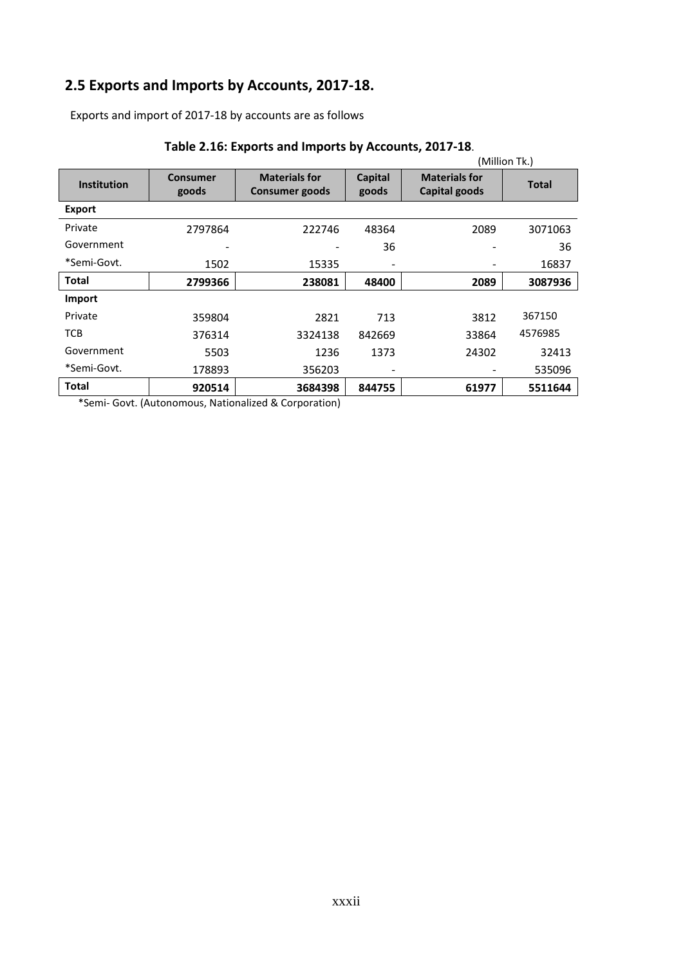# **2.5 Exports and Imports by Accounts, 2017-18.**

Exports and import of 2017-18 by accounts are as follows

|                    |                          |                                        |                         |                                       | (Million Tk.) |
|--------------------|--------------------------|----------------------------------------|-------------------------|---------------------------------------|---------------|
| <b>Institution</b> | <b>Consumer</b><br>goods | <b>Materials for</b><br>Consumer goods | <b>Capital</b><br>goods | <b>Materials for</b><br>Capital goods | Total         |
| <b>Export</b>      |                          |                                        |                         |                                       |               |
| Private            | 2797864                  | 222746                                 | 48364                   | 2089                                  | 3071063       |
| Government         |                          | -                                      | 36                      |                                       | 36            |
| *Semi-Govt.        | 1502                     | 15335                                  |                         |                                       | 16837         |
| <b>Total</b>       | 2799366                  | 238081                                 | 48400                   | 2089                                  | 3087936       |
| Import             |                          |                                        |                         |                                       |               |
| Private            | 359804                   | 2821                                   | 713                     | 3812                                  | 367150        |
| <b>TCB</b>         | 376314                   | 3324138                                | 842669                  | 33864                                 | 4576985       |
| Government         | 5503                     | 1236                                   | 1373                    | 24302                                 | 32413         |
| *Semi-Govt.        | 178893                   | 356203                                 |                         |                                       | 535096        |
| Total              | 920514                   | 3684398                                | 844755                  | 61977                                 | 5511644       |

## **Table 2.16: Exports and Imports by Accounts, 2017-18**.

\*Semi- Govt. (Autonomous, Nationalized & Corporation)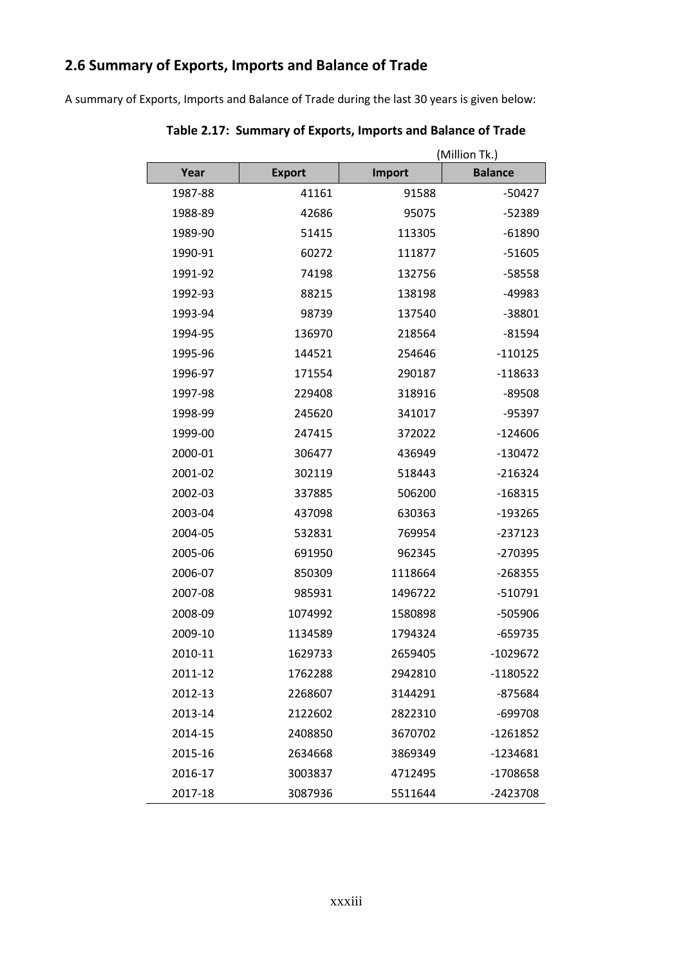# **2.6 Summary of Exports, Imports and Balance of Trade**

A summary of Exports, Imports and Balance of Trade during the last 30 years is given below:

|         |               | (Million Tk.) |                |  |  |
|---------|---------------|---------------|----------------|--|--|
| Year    | <b>Export</b> | Import        | <b>Balance</b> |  |  |
| 1987-88 | 41161         | 91588         | $-50427$       |  |  |
| 1988-89 | 42686         | 95075         | $-52389$       |  |  |
| 1989-90 | 51415         | 113305        | $-61890$       |  |  |
| 1990-91 | 60272         | 111877        | $-51605$       |  |  |
| 1991-92 | 74198         | 132756        | -58558         |  |  |
| 1992-93 | 88215         | 138198        | -49983         |  |  |
| 1993-94 | 98739         | 137540        | -38801         |  |  |
| 1994-95 | 136970        | 218564        | -81594         |  |  |
| 1995-96 | 144521        | 254646        | $-110125$      |  |  |
| 1996-97 | 171554        | 290187        | -118633        |  |  |
| 1997-98 | 229408        | 318916        | $-89508$       |  |  |
| 1998-99 | 245620        | 341017        | -95397         |  |  |
| 1999-00 | 247415        | 372022        | $-124606$      |  |  |
| 2000-01 | 306477        | 436949        | $-130472$      |  |  |
| 2001-02 | 302119        | 518443        | $-216324$      |  |  |
| 2002-03 | 337885        | 506200        | $-168315$      |  |  |
| 2003-04 | 437098        | 630363        | -193265        |  |  |
| 2004-05 | 532831        | 769954        | $-237123$      |  |  |
| 2005-06 | 691950        | 962345        | -270395        |  |  |
| 2006-07 | 850309        | 1118664       | $-268355$      |  |  |
| 2007-08 | 985931        | 1496722       | -510791        |  |  |
| 2008-09 | 1074992       | 1580898       | -505906        |  |  |
| 2009-10 | 1134589       | 1794324       | -659735        |  |  |
| 2010-11 | 1629733       | 2659405       | $-1029672$     |  |  |
| 2011-12 | 1762288       | 2942810       | $-1180522$     |  |  |
| 2012-13 | 2268607       | 3144291       | -875684        |  |  |
| 2013-14 | 2122602       | 2822310       | -699708        |  |  |
| 2014-15 | 2408850       | 3670702       | $-1261852$     |  |  |
| 2015-16 | 2634668       | 3869349       | -1234681       |  |  |
| 2016-17 | 3003837       | 4712495       | -1708658       |  |  |
| 2017-18 | 3087936       | 5511644       | -2423708       |  |  |

**Table 2.17: Summary of Exports, Imports and Balance of Trade**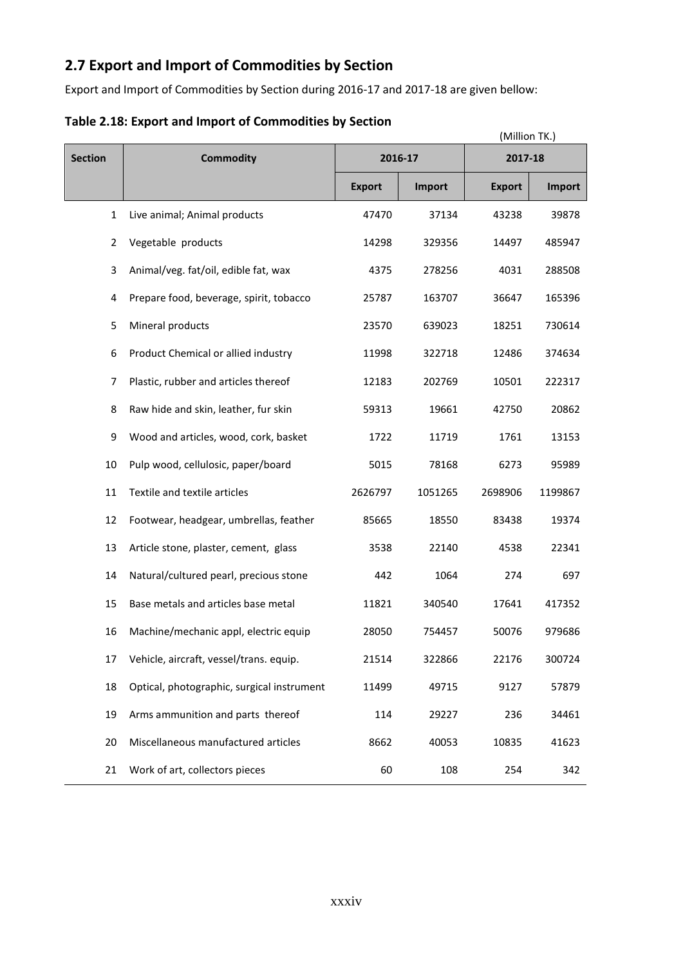# **2.7 Export and Import of Commodities by Section**

Export and Import of Commodities by Section during 2016-17 and 2017-18 are given bellow:

|                |                                            |               |               | (Million TK.) |         |
|----------------|--------------------------------------------|---------------|---------------|---------------|---------|
| <b>Section</b> | <b>Commodity</b>                           | 2016-17       |               | 2017-18       |         |
|                |                                            | <b>Export</b> | <b>Import</b> | <b>Export</b> | Import  |
| $\mathbf{1}$   | Live animal; Animal products               | 47470         | 37134         | 43238         | 39878   |
| 2              | Vegetable products                         | 14298         | 329356        | 14497         | 485947  |
| 3              | Animal/veg. fat/oil, edible fat, wax       | 4375          | 278256        | 4031          | 288508  |
| 4              | Prepare food, beverage, spirit, tobacco    | 25787         | 163707        | 36647         | 165396  |
| 5              | Mineral products                           | 23570         | 639023        | 18251         | 730614  |
| 6              | Product Chemical or allied industry        | 11998         | 322718        | 12486         | 374634  |
| 7              | Plastic, rubber and articles thereof       | 12183         | 202769        | 10501         | 222317  |
| 8              | Raw hide and skin, leather, fur skin       | 59313         | 19661         | 42750         | 20862   |
| 9              | Wood and articles, wood, cork, basket      | 1722          | 11719         | 1761          | 13153   |
| 10             | Pulp wood, cellulosic, paper/board         | 5015          | 78168         | 6273          | 95989   |
| 11             | Textile and textile articles               | 2626797       | 1051265       | 2698906       | 1199867 |
| 12             | Footwear, headgear, umbrellas, feather     | 85665         | 18550         | 83438         | 19374   |
| 13             | Article stone, plaster, cement, glass      | 3538          | 22140         | 4538          | 22341   |
| 14             | Natural/cultured pearl, precious stone     | 442           | 1064          | 274           | 697     |
| 15             | Base metals and articles base metal        | 11821         | 340540        | 17641         | 417352  |
| 16             | Machine/mechanic appl, electric equip      | 28050         | 754457        | 50076         | 979686  |
| 17             | Vehicle, aircraft, vessel/trans. equip.    | 21514         | 322866        | 22176         | 300724  |
| 18             | Optical, photographic, surgical instrument | 11499         | 49715         | 9127          | 57879   |
| 19             | Arms ammunition and parts thereof          | 114           | 29227         | 236           | 34461   |
| 20             | Miscellaneous manufactured articles        | 8662          | 40053         | 10835         | 41623   |
| 21             | Work of art, collectors pieces             | 60            | 108           | 254           | 342     |

## **Table 2.18: Export and Import of Commodities by Section**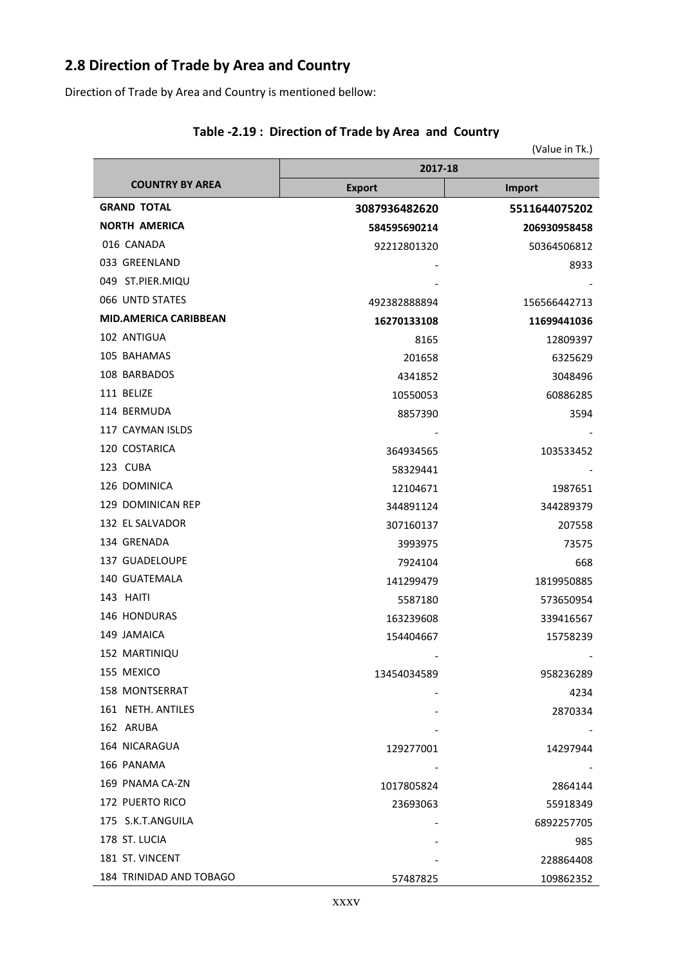# **2.8 Direction of Trade by Area and Country**

Direction of Trade by Area and Country is mentioned bellow:

|                              |               | (Value in Tk.) |  |
|------------------------------|---------------|----------------|--|
|                              | 2017-18       |                |  |
| <b>COUNTRY BY AREA</b>       | <b>Export</b> | <b>Import</b>  |  |
| <b>GRAND TOTAL</b>           | 3087936482620 | 5511644075202  |  |
| <b>NORTH AMERICA</b>         | 584595690214  | 206930958458   |  |
| 016 CANADA                   | 92212801320   | 50364506812    |  |
| 033 GREENLAND                |               | 8933           |  |
| 049 ST.PIER.MIQU             |               |                |  |
| 066 UNTD STATES              | 492382888894  | 156566442713   |  |
| <b>MID.AMERICA CARIBBEAN</b> | 16270133108   | 11699441036    |  |
| 102 ANTIGUA                  | 8165          | 12809397       |  |
| 105 BAHAMAS                  | 201658        | 6325629        |  |
| 108 BARBADOS                 | 4341852       | 3048496        |  |
| 111 BELIZE                   | 10550053      | 60886285       |  |
| 114 BERMUDA                  | 8857390       | 3594           |  |
| 117 CAYMAN ISLDS             |               |                |  |
| 120 COSTARICA                | 364934565     | 103533452      |  |
| 123 CUBA                     | 58329441      |                |  |
| 126 DOMINICA                 | 12104671      | 1987651        |  |
| 129 DOMINICAN REP            | 344891124     | 344289379      |  |
| 132 EL SALVADOR              | 307160137     | 207558         |  |
| 134 GRENADA                  | 3993975       | 73575          |  |
| 137 GUADELOUPE               | 7924104       | 668            |  |
| 140 GUATEMALA                | 141299479     | 1819950885     |  |
| 143 HAITI                    | 5587180       | 573650954      |  |
| 146 HONDURAS                 | 163239608     | 339416567      |  |
| 149 JAMAICA                  | 154404667     | 15758239       |  |
| 152 MARTINIQU                |               |                |  |
| 155 MEXICO                   | 13454034589   | 958236289      |  |
| <b>158 MONTSERRAT</b>        |               | 4234           |  |
| 161 NETH. ANTILES            |               | 2870334        |  |
| 162 ARUBA                    |               |                |  |
| 164 NICARAGUA                | 129277001     | 14297944       |  |
| 166 PANAMA                   |               |                |  |
| 169 PNAMA CA-ZN              | 1017805824    | 2864144        |  |
| 172 PUERTO RICO              | 23693063      | 55918349       |  |
| 175 S.K.T.ANGUILA            |               | 6892257705     |  |
| 178 ST. LUCIA                |               | 985            |  |
| 181 ST. VINCENT              |               | 228864408      |  |
| 184 TRINIDAD AND TOBAGO      | 57487825      | 109862352      |  |

#### **Table -2.19 : Direction of Trade by Area and Country**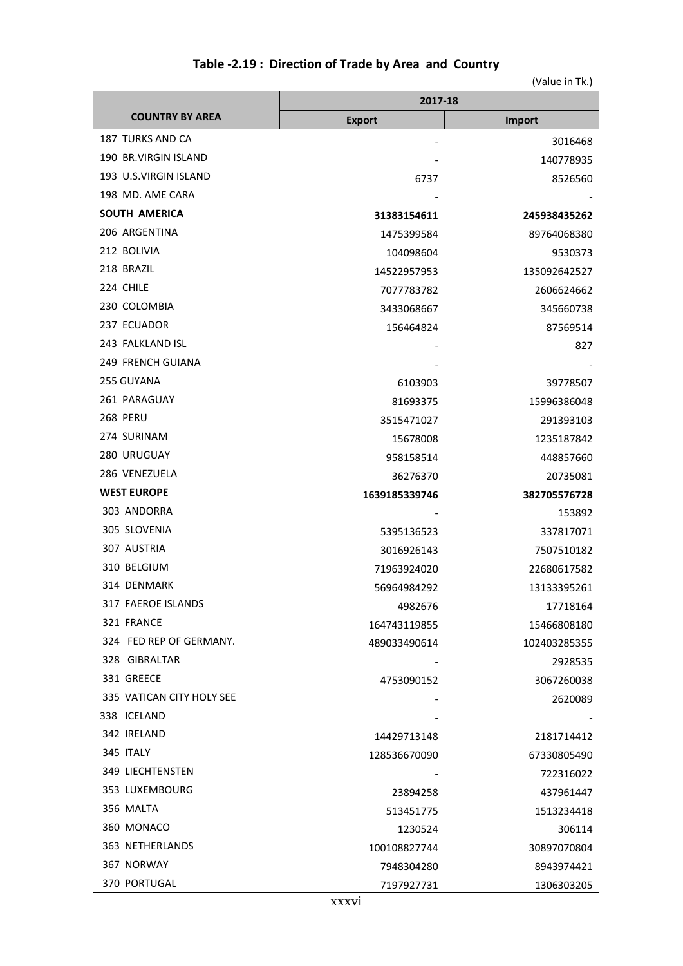## **Table -2.19 : Direction of Trade by Area and Country**

|                           | 2017-18       |              |  |
|---------------------------|---------------|--------------|--|
| <b>COUNTRY BY AREA</b>    | <b>Export</b> | Import       |  |
| 187 TURKS AND CA          |               | 3016468      |  |
| 190 BR.VIRGIN ISLAND      |               | 140778935    |  |
| 193 U.S.VIRGIN ISLAND     | 6737          | 8526560      |  |
| 198 MD. AME CARA          |               |              |  |
| <b>SOUTH AMERICA</b>      | 31383154611   | 245938435262 |  |
| 206 ARGENTINA             | 1475399584    | 89764068380  |  |
| 212 BOLIVIA               | 104098604     | 9530373      |  |
| 218 BRAZIL                | 14522957953   | 135092642527 |  |
| 224 CHILE                 | 7077783782    | 2606624662   |  |
| 230 COLOMBIA              | 3433068667    | 345660738    |  |
| 237 ECUADOR               | 156464824     | 87569514     |  |
| 243 FALKLAND ISL          |               | 827          |  |
| <b>249 FRENCH GUIANA</b>  |               |              |  |
| 255 GUYANA                | 6103903       | 39778507     |  |
| 261 PARAGUAY              | 81693375      | 15996386048  |  |
| <b>268 PERU</b>           | 3515471027    | 291393103    |  |
| 274 SURINAM               | 15678008      | 1235187842   |  |
| 280 URUGUAY               | 958158514     | 448857660    |  |
| 286 VENEZUELA             | 36276370      | 20735081     |  |
| <b>WEST EUROPE</b>        | 1639185339746 | 382705576728 |  |
| 303 ANDORRA               |               | 153892       |  |
| 305 SLOVENIA              | 5395136523    | 337817071    |  |
| 307 AUSTRIA               | 3016926143    | 7507510182   |  |
| 310 BELGIUM               | 71963924020   | 22680617582  |  |
| 314 DENMARK               | 56964984292   | 13133395261  |  |
| 317 FAEROE ISLANDS        | 4982676       | 17718164     |  |
| 321 FRANCE                | 164743119855  | 15466808180  |  |
| 324 FED REP OF GERMANY.   | 489033490614  | 102403285355 |  |
| 328 GIBRALTAR             |               | 2928535      |  |
| 331 GREECE                | 4753090152    | 3067260038   |  |
| 335 VATICAN CITY HOLY SEE |               | 2620089      |  |
| 338 ICELAND               |               |              |  |
| 342 IRELAND               | 14429713148   | 2181714412   |  |
| 345 ITALY                 | 128536670090  | 67330805490  |  |
| 349 LIECHTENSTEN          |               | 722316022    |  |
| 353 LUXEMBOURG            | 23894258      | 437961447    |  |
| 356 MALTA                 | 513451775     | 1513234418   |  |
| 360 MONACO                | 1230524       | 306114       |  |
| 363 NETHERLANDS           | 100108827744  | 30897070804  |  |
| 367 NORWAY                | 7948304280    | 8943974421   |  |
| <b>370 PORTUGAL</b>       | 7197927731    | 1306303205   |  |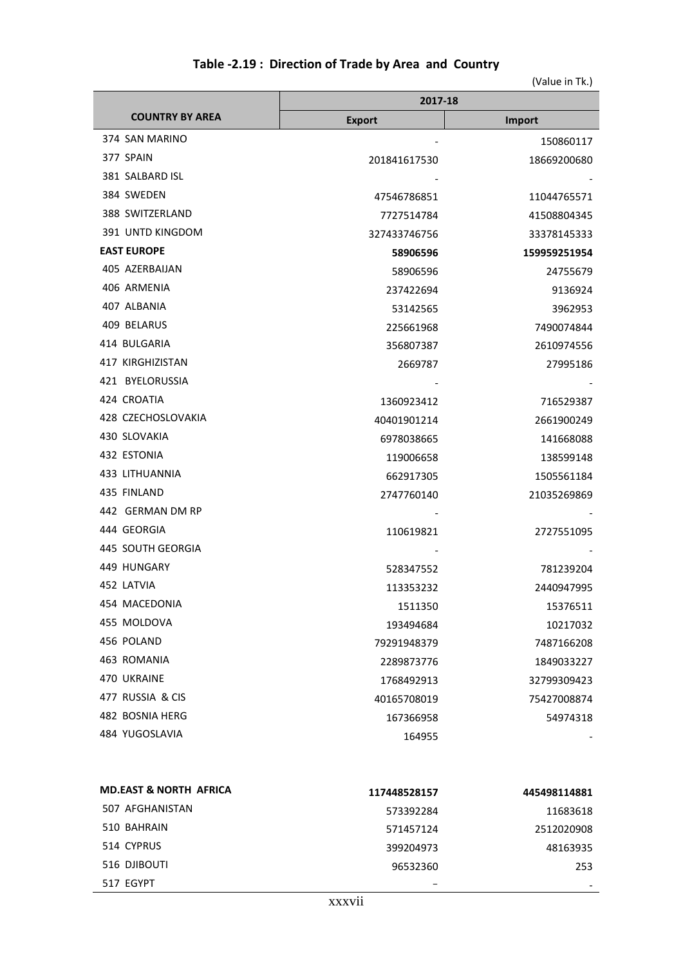| Table -2.19: Direction of Trade by Area and Country |  |  |  |  |  |
|-----------------------------------------------------|--|--|--|--|--|
|-----------------------------------------------------|--|--|--|--|--|

|                        | 2017-18       |              |  |
|------------------------|---------------|--------------|--|
| <b>COUNTRY BY AREA</b> | <b>Export</b> | Import       |  |
| 374 SAN MARINO         |               | 150860117    |  |
| 377 SPAIN              | 201841617530  | 18669200680  |  |
| 381 SALBARD ISL        |               |              |  |
| 384 SWEDEN             | 47546786851   | 11044765571  |  |
| 388 SWITZERLAND        | 7727514784    | 41508804345  |  |
| 391 UNTD KINGDOM       | 327433746756  | 33378145333  |  |
| <b>EAST EUROPE</b>     | 58906596      | 159959251954 |  |
| 405 AZERBAIJAN         | 58906596      | 24755679     |  |
| 406 ARMENIA            | 237422694     | 9136924      |  |
| 407 ALBANIA            | 53142565      | 3962953      |  |
| 409 BELARUS            | 225661968     | 7490074844   |  |
| 414 BULGARIA           | 356807387     | 2610974556   |  |
| 417 KIRGHIZISTAN       | 2669787       | 27995186     |  |
| 421 BYELORUSSIA        |               |              |  |
| 424 CROATIA            | 1360923412    | 716529387    |  |
| 428 CZECHOSLOVAKIA     | 40401901214   | 2661900249   |  |
| 430 SLOVAKIA           | 6978038665    | 141668088    |  |
| 432 ESTONIA            | 119006658     | 138599148    |  |
| 433 LITHUANNIA         | 662917305     | 1505561184   |  |
| 435 FINLAND            | 2747760140    | 21035269869  |  |
| 442 GERMAN DM RP       |               |              |  |
| 444 GEORGIA            | 110619821     | 2727551095   |  |
| 445 SOUTH GEORGIA      |               |              |  |
| 449 HUNGARY            | 528347552     | 781239204    |  |
| 452 LATVIA             | 113353232     | 2440947995   |  |
| 454 MACEDONIA          | 1511350       | 15376511     |  |
| 455 MOLDOVA            | 193494684     | 10217032     |  |
| 456 POLAND             | 79291948379   | 7487166208   |  |
| 463 ROMANIA            | 2289873776    | 1849033227   |  |
| 470 UKRAINE            | 1768492913    | 32799309423  |  |
| 477 RUSSIA & CIS       | 40165708019   | 75427008874  |  |
| 482 BOSNIA HERG        | 167366958     | 54974318     |  |
| 484 YUGOSLAVIA         | 164955        |              |  |

| <b>MD.EAST &amp; NORTH AFRICA</b> | 117448528157 | 445498114881 |
|-----------------------------------|--------------|--------------|
| 507 AFGHANISTAN                   | 573392284    | 11683618     |
| 510 BAHRAIN                       | 571457124    | 2512020908   |
| 514 CYPRUS                        | 399204973    | 48163935     |
| 516 DJIBOUTI                      | 96532360     | 253          |
| 517 EGYPT                         |              |              |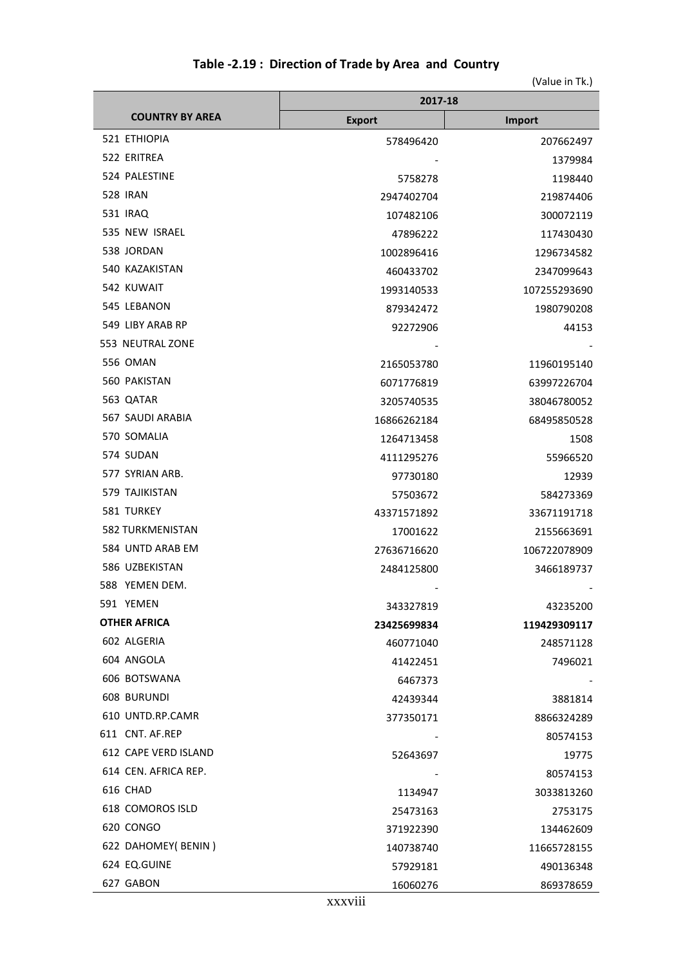|                         | 2017-18       |              |  |
|-------------------------|---------------|--------------|--|
| <b>COUNTRY BY AREA</b>  | <b>Export</b> | Import       |  |
| 521 ETHIOPIA            | 578496420     | 207662497    |  |
| 522 ERITREA             |               | 1379984      |  |
| 524 PALESTINE           | 5758278       | 1198440      |  |
| <b>528 IRAN</b>         | 2947402704    | 219874406    |  |
| 531 IRAQ                | 107482106     | 300072119    |  |
| 535 NEW ISRAEL          | 47896222      | 117430430    |  |
| 538 JORDAN              | 1002896416    | 1296734582   |  |
| 540 KAZAKISTAN          | 460433702     | 2347099643   |  |
| 542 KUWAIT              | 1993140533    | 107255293690 |  |
| 545 LEBANON             | 879342472     | 1980790208   |  |
| 549 LIBY ARAB RP        | 92272906      | 44153        |  |
| 553 NEUTRAL ZONE        |               |              |  |
| 556 OMAN                | 2165053780    | 11960195140  |  |
| 560 PAKISTAN            | 6071776819    | 63997226704  |  |
| 563 QATAR               | 3205740535    | 38046780052  |  |
| 567 SAUDI ARABIA        | 16866262184   | 68495850528  |  |
| 570 SOMALIA             | 1264713458    | 1508         |  |
| 574 SUDAN               | 4111295276    | 55966520     |  |
| 577 SYRIAN ARB.         | 97730180      | 12939        |  |
| 579 TAJIKISTAN          | 57503672      | 584273369    |  |
| 581 TURKEY              | 43371571892   | 33671191718  |  |
| <b>582 TURKMENISTAN</b> | 17001622      | 2155663691   |  |
| 584 UNTD ARAB EM        | 27636716620   | 106722078909 |  |
| 586 UZBEKISTAN          | 2484125800    | 3466189737   |  |
| 588 YEMEN DEM.          |               |              |  |
| 591 YEMEN               | 343327819     | 43235200     |  |
| <b>OTHER AFRICA</b>     | 23425699834   | 119429309117 |  |
| 602 ALGERIA             | 460771040     | 248571128    |  |
| 604 ANGOLA              | 41422451      | 7496021      |  |
| 606 BOTSWANA            | 6467373       |              |  |
| <b>608 BURUNDI</b>      | 42439344      | 3881814      |  |
| 610 UNTD.RP.CAMR        | 377350171     | 8866324289   |  |
| 611 CNT. AF.REP         |               | 80574153     |  |
| 612 CAPE VERD ISLAND    | 52643697      | 19775        |  |
| 614 CEN. AFRICA REP.    |               | 80574153     |  |
| 616 CHAD                | 1134947       | 3033813260   |  |
| 618 COMOROS ISLD        | 25473163      | 2753175      |  |
| 620 CONGO               | 371922390     | 134462609    |  |
| 622 DAHOMEY(BENIN)      | 140738740     | 11665728155  |  |
| 624 EQ.GUINE            | 57929181      | 490136348    |  |
| 627 GABON               | 16060276      | 869378659    |  |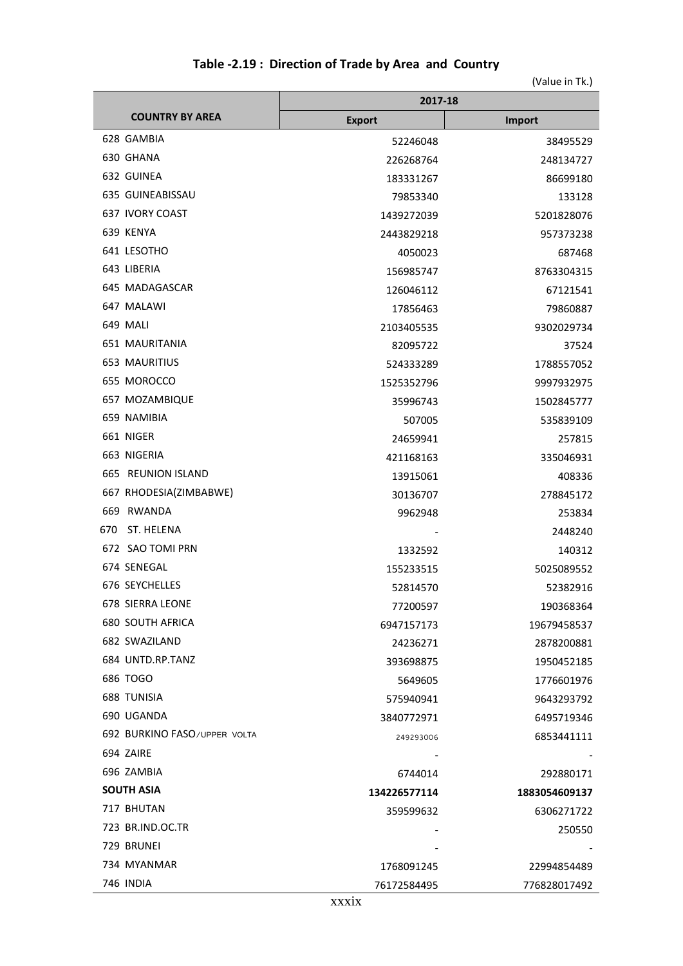|                              | 2017-18       |               |  |
|------------------------------|---------------|---------------|--|
| <b>COUNTRY BY AREA</b>       | <b>Export</b> | Import        |  |
| 628 GAMBIA                   | 52246048      | 38495529      |  |
| 630 GHANA                    | 226268764     | 248134727     |  |
| 632 GUINEA                   | 183331267     | 86699180      |  |
| 635 GUINEABISSAU             | 79853340      | 133128        |  |
| 637 IVORY COAST              | 1439272039    | 5201828076    |  |
| 639 KENYA                    | 2443829218    | 957373238     |  |
| 641 LESOTHO                  | 4050023       | 687468        |  |
| 643 LIBERIA                  | 156985747     | 8763304315    |  |
| 645 MADAGASCAR               | 126046112     | 67121541      |  |
| 647 MALAWI                   | 17856463      | 79860887      |  |
| 649 MALI                     | 2103405535    | 9302029734    |  |
| <b>651 MAURITANIA</b>        | 82095722      | 37524         |  |
| <b>653 MAURITIUS</b>         | 524333289     | 1788557052    |  |
| 655 MOROCCO                  | 1525352796    | 9997932975    |  |
| 657 MOZAMBIQUE               | 35996743      | 1502845777    |  |
| 659 NAMIBIA                  | 507005        | 535839109     |  |
| 661 NIGER                    | 24659941      | 257815        |  |
| 663 NIGERIA                  | 421168163     | 335046931     |  |
| 665<br><b>REUNION ISLAND</b> | 13915061      | 408336        |  |
| 667 RHODESIA(ZIMBABWE)       | 30136707      | 278845172     |  |
| RWANDA<br>669                | 9962948       | 253834        |  |
| ST. HELENA<br>670            |               | 2448240       |  |
| 672 SAO TOMI PRN             | 1332592       | 140312        |  |
| 674 SENEGAL                  | 155233515     | 5025089552    |  |
| 676 SEYCHELLES               | 52814570      | 52382916      |  |
| 678 SIERRA LEONE             | 77200597      | 190368364     |  |
| <b>680 SOUTH AFRICA</b>      | 6947157173    | 19679458537   |  |
| 682 SWAZILAND                | 24236271      | 2878200881    |  |
| 684 UNTD.RP.TANZ             | 393698875     | 1950452185    |  |
| 686 TOGO                     | 5649605       | 1776601976    |  |
| <b>688 TUNISIA</b>           | 575940941     | 9643293792    |  |
| 690 UGANDA                   | 3840772971    | 6495719346    |  |
| 692 BURKINO FASO/UPPER VOLTA | 249293006     | 6853441111    |  |
| 694 ZAIRE                    |               |               |  |
| 696 ZAMBIA                   | 6744014       | 292880171     |  |
| <b>SOUTH ASIA</b>            | 134226577114  | 1883054609137 |  |
| 717 BHUTAN                   | 359599632     | 6306271722    |  |
| 723 BR.IND.OC.TR             |               | 250550        |  |
| 729 BRUNEI                   |               |               |  |
| 734 MYANMAR                  | 1768091245    | 22994854489   |  |
| 746 INDIA                    | 76172584495   | 776828017492  |  |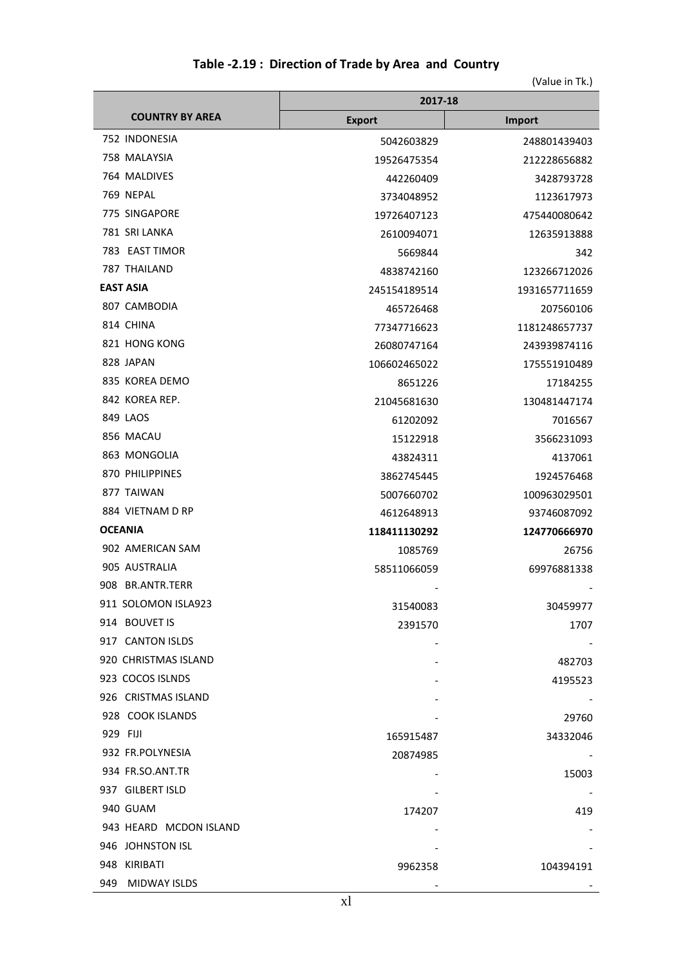|  |  | Table -2.19: Direction of Trade by Area and Country |  |  |
|--|--|-----------------------------------------------------|--|--|
|--|--|-----------------------------------------------------|--|--|

|                        | 2017-18       |               |  |
|------------------------|---------------|---------------|--|
| <b>COUNTRY BY AREA</b> | <b>Export</b> | <b>Import</b> |  |
| 752 INDONESIA          | 5042603829    | 248801439403  |  |
| 758 MALAYSIA           | 19526475354   | 212228656882  |  |
| 764 MALDIVES           | 442260409     | 3428793728    |  |
| 769 NEPAL              | 3734048952    | 1123617973    |  |
| 775 SINGAPORE          | 19726407123   | 475440080642  |  |
| 781 SRI LANKA          | 2610094071    | 12635913888   |  |
| 783 EAST TIMOR         | 5669844       | 342           |  |
| 787 THAILAND           | 4838742160    | 123266712026  |  |
| <b>EAST ASIA</b>       | 245154189514  | 1931657711659 |  |
| 807 CAMBODIA           | 465726468     | 207560106     |  |
| 814 CHINA              | 77347716623   | 1181248657737 |  |
| 821 HONG KONG          | 26080747164   | 243939874116  |  |
| 828 JAPAN              | 106602465022  | 175551910489  |  |
| 835 KOREA DEMO         | 8651226       | 17184255      |  |
| 842 KOREA REP.         | 21045681630   | 130481447174  |  |
| 849 LAOS               | 61202092      | 7016567       |  |
| 856 MACAU              | 15122918      | 3566231093    |  |
| 863 MONGOLIA           | 43824311      | 4137061       |  |
| 870 PHILIPPINES        | 3862745445    | 1924576468    |  |
| 877 TAIWAN             | 5007660702    | 100963029501  |  |
| 884 VIETNAM D RP       | 4612648913    | 93746087092   |  |
| <b>OCEANIA</b>         | 118411130292  | 124770666970  |  |
| 902 AMERICAN SAM       | 1085769       | 26756         |  |
| 905 AUSTRALIA          | 58511066059   | 69976881338   |  |
| 908 BR.ANTR.TERR       |               |               |  |
| 911 SOLOMON ISLA923    | 31540083      | 30459977      |  |
| 914 BOUVET IS          | 2391570       | 1707          |  |
| 917 CANTON ISLDS       |               |               |  |
| 920 CHRISTMAS ISLAND   |               | 482703        |  |
| 923 COCOS ISLNDS       |               | 4195523       |  |
| 926 CRISTMAS ISLAND    |               |               |  |
| 928 COOK ISLANDS       |               | 29760         |  |
| 929 FIJI               | 165915487     | 34332046      |  |
| 932 FR.POLYNESIA       | 20874985      |               |  |
| 934 FR.SO.ANT.TR       |               | 15003         |  |
| 937 GILBERT ISLD       |               |               |  |
| 940 GUAM               | 174207        | 419           |  |
| 943 HEARD MCDON ISLAND |               |               |  |
| 946 JOHNSTON ISL       |               |               |  |
| 948 KIRIBATI           | 9962358       | 104394191     |  |
| 949 MIDWAY ISLDS       |               |               |  |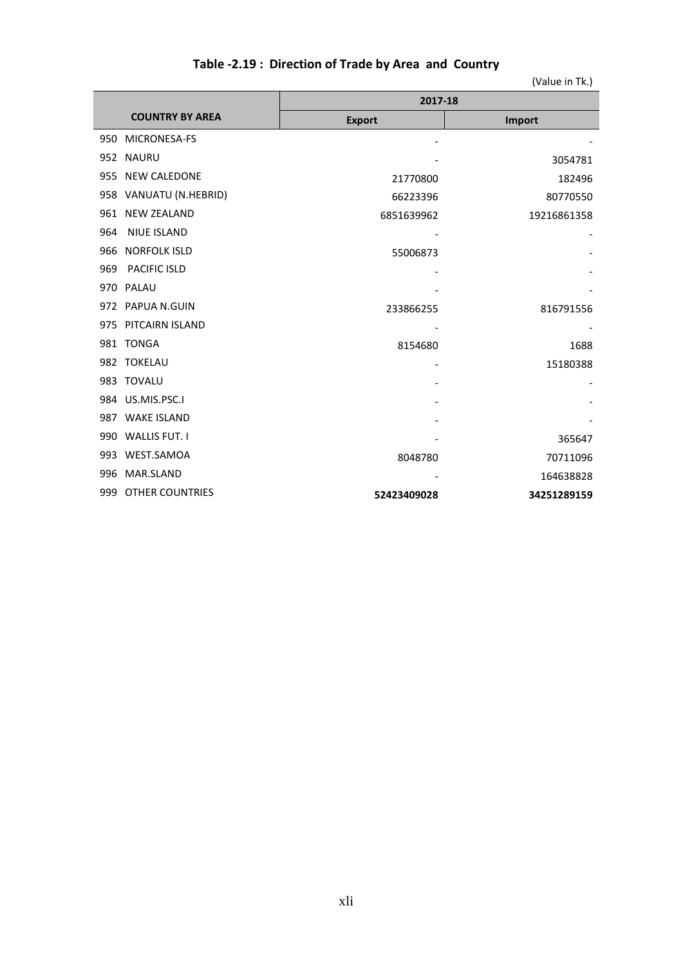|  |  | Table -2.19: Direction of Trade by Area and Country |  |  |  |
|--|--|-----------------------------------------------------|--|--|--|
|--|--|-----------------------------------------------------|--|--|--|

|     |                        | 2017-18       |             |  |  |
|-----|------------------------|---------------|-------------|--|--|
|     | <b>COUNTRY BY AREA</b> | <b>Export</b> | Import      |  |  |
| 950 | <b>MICRONESA-FS</b>    |               |             |  |  |
| 952 | <b>NAURU</b>           |               | 3054781     |  |  |
| 955 | <b>NEW CALEDONE</b>    | 21770800      | 182496      |  |  |
| 958 | VANUATU (N.HEBRID)     | 66223396      | 80770550    |  |  |
| 961 | <b>NEW ZEALAND</b>     | 6851639962    | 19216861358 |  |  |
| 964 | <b>NIUE ISLAND</b>     |               |             |  |  |
| 966 | <b>NORFOLK ISLD</b>    | 55006873      |             |  |  |
| 969 | PACIFIC ISLD           |               |             |  |  |
| 970 | PALAU                  |               |             |  |  |
|     | 972 PAPUA N.GUIN       | 233866255     | 816791556   |  |  |
| 975 | PITCAIRN ISLAND        |               |             |  |  |
| 981 | <b>TONGA</b>           | 8154680       | 1688        |  |  |
| 982 | <b>TOKELAU</b>         |               | 15180388    |  |  |
| 983 | <b>TOVALU</b>          |               |             |  |  |
| 984 | US.MIS.PSC.I           |               |             |  |  |
| 987 | <b>WAKE ISLAND</b>     |               |             |  |  |
| 990 | <b>WALLIS FUT. I</b>   |               | 365647      |  |  |
| 993 | WEST.SAMOA             | 8048780       | 70711096    |  |  |
| 996 | MAR.SLAND              |               | 164638828   |  |  |
| 999 | <b>OTHER COUNTRIES</b> | 52423409028   | 34251289159 |  |  |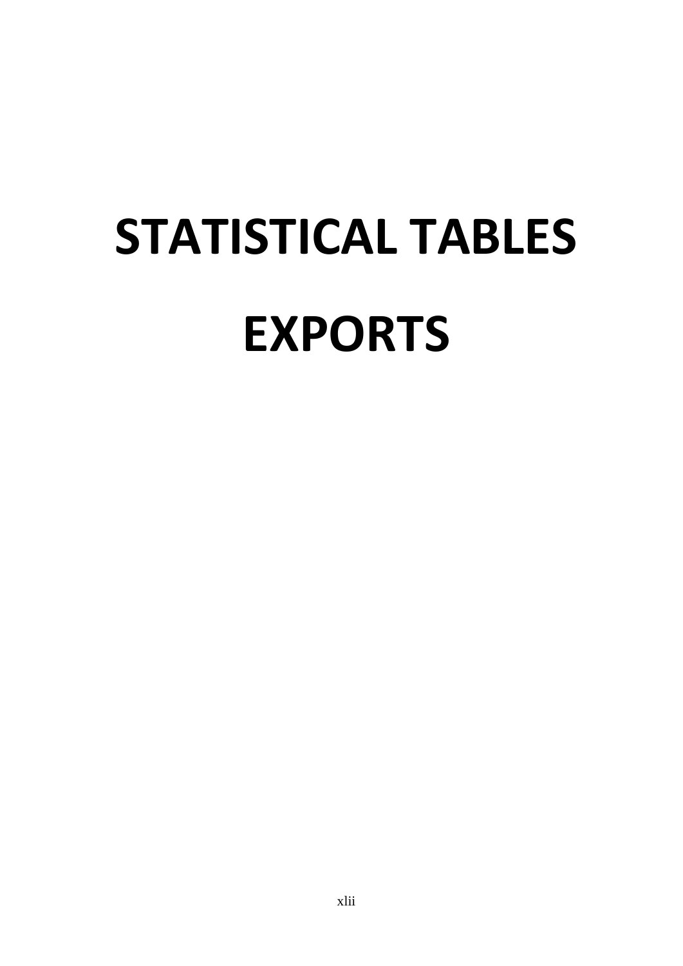# **STATISTICAL TABLES EXPORTS**